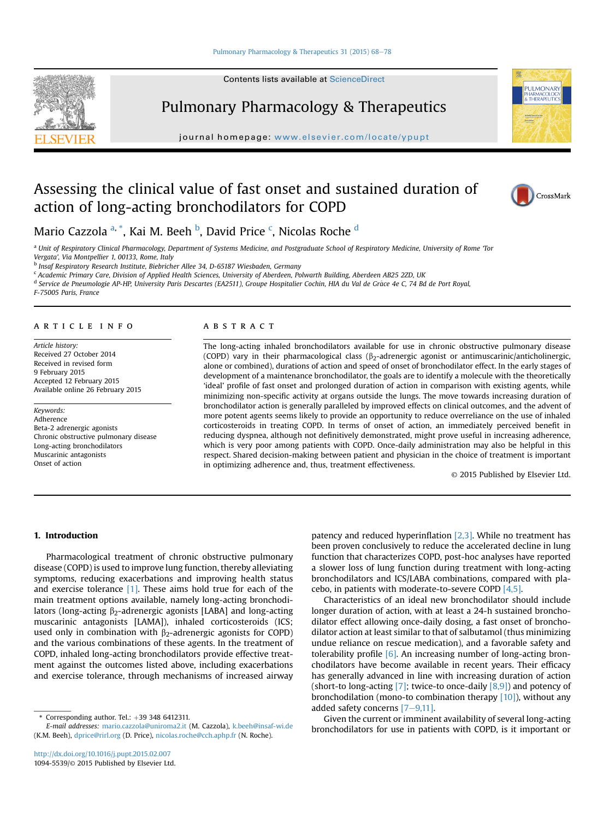## [Pulmonary Pharmacology & Therapeutics 31 \(2015\) 68](http://dx.doi.org/10.1016/j.pupt.2015.02.007)-[78](http://dx.doi.org/10.1016/j.pupt.2015.02.007)

Contents lists available at ScienceDirect



Pulmonary Pharmacology & Therapeutics

journal homepage: [www.elsevier.com/locate/ypupt](http://www.elsevier.com/locate/ypupt)

# Assessing the clinical value of fast onset and sustained duration of action of long-acting bronchodilators for COPD



CrossMark

**PULMONARY HARMACOLOC**<br>THERAPEUTIC

# Mario Cazzola <sup>a, \*</sup>, Kai M. Beeh <sup>b</sup>, David Price <sup>c</sup>, Nicolas Roche <sup>d</sup>

a Unit of Respiratory Clinical Pharmacology, Department of Systems Medicine, and Postgraduate School of Respiratory Medicine, University of Rome 'Tor Vergata', Via Montpellier 1, 00133, Rome, Italy

<sup>b</sup> Insaf Respiratory Research Institute, Biebricher Allee 34, D-65187 Wiesbaden, Germany

<sup>c</sup> Academic Primary Care, Division of Applied Health Sciences, University of Aberdeen, Polwarth Building, Aberdeen AB25 2ZD, UK

<sup>d</sup> Service de Pneumologie AP-HP, University Paris Descartes (EA2511), Groupe Hospitalier Cochin, HIA du Val de Grace 4e C, 74 Bd de Port Royal, ^

F-75005 Paris, France

## article info

Article history: Received 27 October 2014 Received in revised form 9 February 2015 Accepted 12 February 2015 Available online 26 February 2015

Keywords: Adherence Beta-2 adrenergic agonists Chronic obstructive pulmonary disease Long-acting bronchodilators Muscarinic antagonists Onset of action

#### **ABSTRACT**

The long-acting inhaled bronchodilators available for use in chronic obstructive pulmonary disease (COPD) vary in their pharmacological class ( $\beta_2$ -adrenergic agonist or antimuscarinic/anticholinergic, alone or combined), durations of action and speed of onset of bronchodilator effect. In the early stages of development of a maintenance bronchodilator, the goals are to identify a molecule with the theoretically 'ideal' profile of fast onset and prolonged duration of action in comparison with existing agents, while minimizing non-specific activity at organs outside the lungs. The move towards increasing duration of bronchodilator action is generally paralleled by improved effects on clinical outcomes, and the advent of more potent agents seems likely to provide an opportunity to reduce overreliance on the use of inhaled corticosteroids in treating COPD. In terms of onset of action, an immediately perceived benefit in reducing dyspnea, although not definitively demonstrated, might prove useful in increasing adherence, which is very poor among patients with COPD. Once-daily administration may also be helpful in this respect. Shared decision-making between patient and physician in the choice of treatment is important in optimizing adherence and, thus, treatment effectiveness.

© 2015 Published by Elsevier Ltd.

# 1. Introduction

Pharmacological treatment of chronic obstructive pulmonary disease (COPD) is used to improve lung function, thereby alleviating symptoms, reducing exacerbations and improving health status and exercise tolerance [\[1\].](#page-8-0) These aims hold true for each of the main treatment options available, namely long-acting bronchodilators (long-acting  $\beta_2$ -adrenergic agonists [LABA] and long-acting muscarinic antagonists [LAMA]), inhaled corticosteroids (ICS; used only in combination with  $\beta_2$ -adrenergic agonists for COPD) and the various combinations of these agents. In the treatment of COPD, inhaled long-acting bronchodilators provide effective treatment against the outcomes listed above, including exacerbations and exercise tolerance, through mechanisms of increased airway patency and reduced hyperinflation  $[2,3]$ . While no treatment has been proven conclusively to reduce the accelerated decline in lung function that characterizes COPD, post-hoc analyses have reported a slower loss of lung function during treatment with long-acting bronchodilators and ICS/LABA combinations, compared with placebo, in patients with moderate-to-severe COPD [\[4,5\].](#page-8-0)

Characteristics of an ideal new bronchodilator should include longer duration of action, with at least a 24-h sustained bronchodilator effect allowing once-daily dosing, a fast onset of bronchodilator action at least similar to that of salbutamol (thus minimizing undue reliance on rescue medication), and a favorable safety and tolerability profile [\[6\].](#page-8-0) An increasing number of long-acting bronchodilators have become available in recent years. Their efficacy has generally advanced in line with increasing duration of action (short-to long-acting [\[7\];](#page-8-0) twice-to once-daily  $[8,9]$ ) and potency of bronchodilation (mono-to combination therapy [\[10\]](#page-8-0)), without any added safety concerns  $[7-9,11]$  $[7-9,11]$ .

Given the current or imminent availability of several long-acting bronchodilators for use in patients with COPD, is it important or

<sup>\*</sup> Corresponding author. Tel.:  $+39$  348 6412311.

E-mail addresses: [mario.cazzola@uniroma2.it](mailto:mario.cazzola@uniroma2.it) (M. Cazzola), [k.beeh@insaf-wi.de](mailto:k.beeh@insaf-wi.de) (K.M. Beeh), [dprice@rirl.org](mailto:dprice@rirl.org) (D. Price), [nicolas.roche@cch.aphp.fr](mailto:nicolas.roche@cch.aphp.fr) (N. Roche).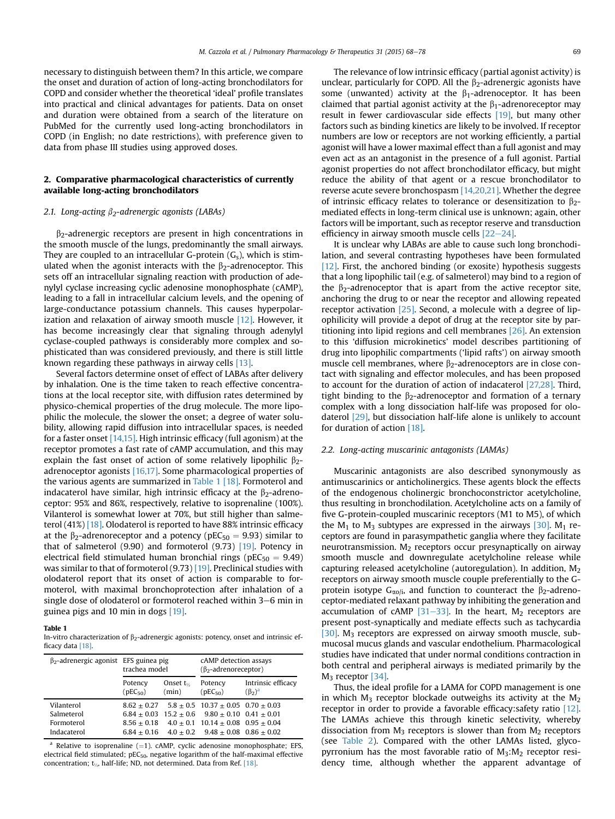necessary to distinguish between them? In this article, we compare the onset and duration of action of long-acting bronchodilators for COPD and consider whether the theoretical 'ideal' profile translates into practical and clinical advantages for patients. Data on onset and duration were obtained from a search of the literature on PubMed for the currently used long-acting bronchodilators in COPD (in English; no date restrictions), with preference given to data from phase III studies using approved doses.

# 2. Comparative pharmacological characteristics of currently available long-acting bronchodilators

### 2.1. Long-acting  $\beta_2$ -adrenergic agonists (LABAs)

 $\beta$ <sub>2</sub>-adrenergic receptors are present in high concentrations in the smooth muscle of the lungs, predominantly the small airways. They are coupled to an intracellular G-protein  $(G<sub>s</sub>)$ , which is stimulated when the agonist interacts with the  $\beta_2$ -adrenoceptor. This sets off an intracellular signaling reaction with production of adenylyl cyclase increasing cyclic adenosine monophosphate (cAMP), leading to a fall in intracellular calcium levels, and the opening of large-conductance potassium channels. This causes hyperpolarization and relaxation of airway smooth muscle [\[12\].](#page-8-0) However, it has become increasingly clear that signaling through adenylyl cyclase-coupled pathways is considerably more complex and sophisticated than was considered previously, and there is still little known regarding these pathways in airway cells [\[13\]](#page-8-0).

Several factors determine onset of effect of LABAs after delivery by inhalation. One is the time taken to reach effective concentrations at the local receptor site, with diffusion rates determined by physico-chemical properties of the drug molecule. The more lipophilic the molecule, the slower the onset; a degree of water solubility, allowing rapid diffusion into intracellular spaces, is needed for a faster onset  $[14,15]$ . High intrinsic efficacy (full agonism) at the receptor promotes a fast rate of cAMP accumulation, and this may explain the fast onset of action of some relatively lipophilic  $\beta_2$ adrenoceptor agonists [\[16,17\]](#page-8-0). Some pharmacological properties of the various agents are summarized in Table 1 [\[18\]](#page-8-0). Formoterol and indacaterol have similar, high intrinsic efficacy at the  $\beta_2$ -adrenoceptor: 95% and 86%, respectively, relative to isoprenaline (100%). Vilanterol is somewhat lower at 70%, but still higher than salmeterol (41%) [\[18\].](#page-8-0) Olodaterol is reported to have 88% intrinsic efficacy at the  $\beta_2$ -adrenoreceptor and a potency (pEC<sub>50</sub> = 9.93) similar to that of salmeterol (9.90) and formoterol (9.73) [\[19\]](#page-8-0). Potency in electrical field stimulated human bronchial rings ( $pEC_{50} = 9.49$ ) was similar to that of formoterol  $(9.73)$  [\[19\]](#page-8-0). Preclinical studies with olodaterol report that its onset of action is comparable to formoterol, with maximal bronchoprotection after inhalation of a single dose of olodaterol or formoterol reached within  $3-6$  min in guinea pigs and 10 min in dogs [\[19\].](#page-8-0)

#### Table 1

In-vitro characterization of  $\beta_2$ -adrenergic agonists: potency, onset and intrinsic efficacy data [\[18\].](#page-8-0)

| $\beta$ <sub>2</sub> -adrenergic agonist EFS guinea pig | trachea model           |                                | cAMP detection assays<br>$(\beta_2$ -adrenoreceptor)                                                                                                                                                                                                |                                     |
|---------------------------------------------------------|-------------------------|--------------------------------|-----------------------------------------------------------------------------------------------------------------------------------------------------------------------------------------------------------------------------------------------------|-------------------------------------|
|                                                         | Potency<br>$(DEC_{50})$ | Onset t <sub>16</sub><br>(min) | Potency<br>$(DEC_{50})$                                                                                                                                                                                                                             | Intrinsic efficacy<br>$(\beta_2)^a$ |
| Vilanterol<br>Salmeterol<br>Formoterol<br>Indacaterol   |                         |                                | $8.62 \pm 0.27$ $5.8 \pm 0.5$ $10.37 \pm 0.05$ $0.70 \pm 0.03$<br>$6.84 + 0.03$ $15.2 + 0.6$ $9.80 + 0.10$ $0.41 + 0.01$<br>$8.56 \pm 0.18$ $4.0 \pm 0.1$ $10.14 \pm 0.08$ $0.95 \pm 0.04$<br>$6.84 + 0.16$ $4.0 + 0.2$ $9.48 + 0.08$ $0.86 + 0.02$ |                                     |

<sup>a</sup> Relative to isoprenaline  $(=1)$ . cAMP, cyclic adenosine monophosphate; EFS, electrical field stimulated;  $pEC_{50}$ , negative logarithm of the half-maximal effective concentration;  $t_{\frac{1}{2}}$ , half-life; ND, not determined. Data from Ref. [\[18\]](#page-8-0).

The relevance of low intrinsic efficacy (partial agonist activity) is unclear, particularly for COPD. All the  $\beta_2$ -adrenergic agonists have some (unwanted) activity at the  $\beta_1$ -adrenoceptor. It has been claimed that partial agonist activity at the  $\beta_1$ -adrenoreceptor may result in fewer cardiovascular side effects [\[19\],](#page-8-0) but many other factors such as binding kinetics are likely to be involved. If receptor numbers are low or receptors are not working efficiently, a partial agonist will have a lower maximal effect than a full agonist and may even act as an antagonist in the presence of a full agonist. Partial agonist properties do not affect bronchodilator efficacy, but might reduce the ability of that agent or a rescue bronchodilator to reverse acute severe bronchospasm [\[14,20,21\]](#page-8-0). Whether the degree of intrinsic efficacy relates to tolerance or desensitization to  $\beta_2$ mediated effects in long-term clinical use is unknown; again, other factors will be important, such as receptor reserve and transduction efficiency in airway smooth muscle cells  $[22-24]$  $[22-24]$  $[22-24]$ .

It is unclear why LABAs are able to cause such long bronchodilation, and several contrasting hypotheses have been formulated [\[12\]](#page-8-0). First, the anchored binding (or exosite) hypothesis suggests that a long lipophilic tail (e.g. of salmeterol) may bind to a region of the  $\beta_2$ -adrenoceptor that is apart from the active receptor site, anchoring the drug to or near the receptor and allowing repeated receptor activation [\[25\]](#page-8-0). Second, a molecule with a degree of lipophilicity will provide a depot of drug at the receptor site by partitioning into lipid regions and cell membranes [\[26\].](#page-8-0) An extension to this 'diffusion microkinetics' model describes partitioning of drug into lipophilic compartments ('lipid rafts') on airway smooth muscle cell membranes, where  $\beta_2$ -adrenoceptors are in close contact with signaling and effector molecules, and has been proposed to account for the duration of action of indacaterol [\[27,28\].](#page-8-0) Third, tight binding to the  $\beta_2$ -adrenoceptor and formation of a ternary complex with a long dissociation half-life was proposed for olo-daterol [\[29\]](#page-8-0), but dissociation half-life alone is unlikely to account for duration of action [\[18\].](#page-8-0)

## 2.2. Long-acting muscarinic antagonists (LAMAs)

Muscarinic antagonists are also described synonymously as antimuscarinics or anticholinergics. These agents block the effects of the endogenous cholinergic bronchoconstrictor acetylcholine, thus resulting in bronchodilation. Acetylcholine acts on a family of five G-protein-coupled muscarinic receptors (M1 to M5), of which the  $M_1$  to  $M_3$  subtypes are expressed in the airways [\[30\]](#page-8-0).  $M_1$  receptors are found in parasympathetic ganglia where they facilitate neurotransmission.  $M_2$  receptors occur presynaptically on airway smooth muscle and downregulate acetylcholine release while capturing released acetylcholine (autoregulation). In addition,  $M_2$ receptors on airway smooth muscle couple preferentially to the Gprotein isotype  $G_{\alpha o/i}$ , and function to counteract the  $\beta_2$ -adrenoceptor-mediated relaxant pathway by inhibiting the generation and accumulation of cAMP  $[31-33]$  $[31-33]$ . In the heart, M<sub>2</sub> receptors are present post-synaptically and mediate effects such as tachycardia  $[30]$ . M<sub>3</sub> receptors are expressed on airway smooth muscle, submucosal mucus glands and vascular endothelium. Pharmacological studies have indicated that under normal conditions contraction in both central and peripheral airways is mediated primarily by the  $M_3$  receptor [\[34\].](#page-8-0)

Thus, the ideal profile for a LAMA for COPD management is one in which  $M_3$  receptor blockade outweighs its activity at the  $M_2$ receptor in order to provide a favorable efficacy:safety ratio [\[12\].](#page-8-0) The LAMAs achieve this through kinetic selectivity, whereby dissociation from  $M_3$  receptors is slower than from  $M_2$  receptors (see [Table 2](#page-2-0)). Compared with the other LAMAs listed, glycopyrronium has the most favorable ratio of  $M_3:M_2$  receptor residency time, although whether the apparent advantage of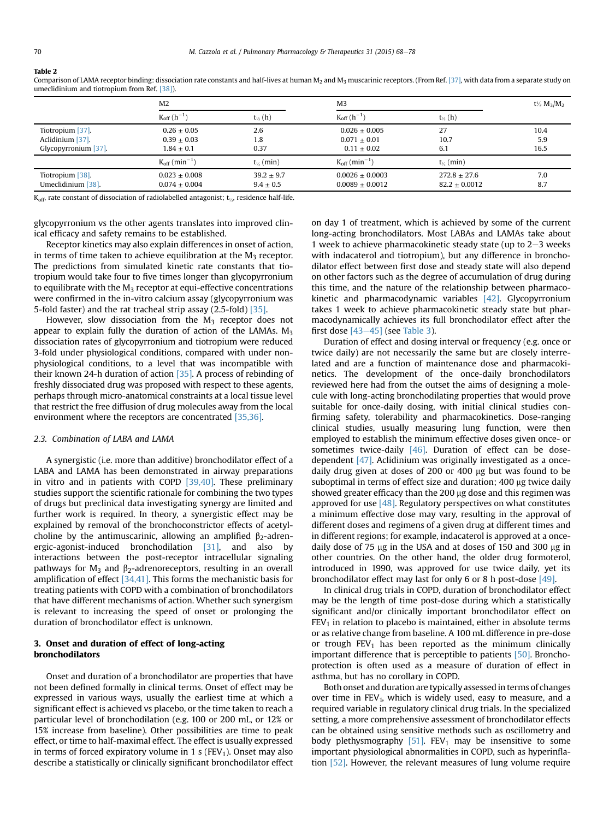<span id="page-2-0"></span>Comparison of LAMA receptor binding: dissociation rate constants and half-lives at human  $M_2$  and  $M_3$  muscarinic receptors. (From Ref. [\[37\],](#page-8-0) with data from a separate study on umeclidinium and tiotropium from Ref. [\[38\]\)](#page-8-0).

|                      | M <sub>2</sub>                 |                      | M <sub>3</sub>                 | $t\frac{1}{2} M_3/M_2$ |      |
|----------------------|--------------------------------|----------------------|--------------------------------|------------------------|------|
|                      | $K_{off}$ (h <sup>-1</sup> )   | $t_{\frac{1}{2}}(h)$ | $K_{off}$ (h <sup>-1</sup> )   | $t_{\frac{1}{2}}(h)$   |      |
| Tiotropium [37].     | $0.26 + 0.05$                  | 2.6                  | $0.026 + 0.005$                | 27                     | 10.4 |
| Aclidinium [37].     | $0.39 \pm 0.03$                | 1.8                  | $0.071 + 0.01$                 | 10.7                   | 5.9  |
| Glycopyrronium [37]. | $1.84 \pm 0.1$                 | 0.37                 | $0.11 + 0.02$                  | 6.1                    | 16.5 |
|                      | $K_{off}$ (min <sup>-1</sup> ) | $t_{\kappa}$ (min)   | $K_{off}$ (min <sup>-1</sup> ) | $t_{\%}$ (min)         |      |
| Tiotropium [38].     | $0.023 + 0.008$                | $39.2 + 9.7$         | $0.0026 + 0.0003$              | $272.8 + 27.6$         | 7.0  |
| Umeclidinium [38].   | $0.074 + 0.004$                | $9.4 + 0.5$          | $0.0089 + 0.0012$              | $82.2 + 0.0012$        | 8.7  |

 $K_{\text{off}}$ , rate constant of dissociation of radiolabelled antagonist;  $t_{\frac{1}{2}}$ , residence half-life.

glycopyrronium vs the other agents translates into improved clinical efficacy and safety remains to be established.

Receptor kinetics may also explain differences in onset of action, in terms of time taken to achieve equilibration at the  $M_3$  receptor. The predictions from simulated kinetic rate constants that tiotropium would take four to five times longer than glycopyrronium to equilibrate with the  $M_3$  receptor at equi-effective concentrations were confirmed in the in-vitro calcium assay (glycopyrronium was 5-fold faster) and the rat tracheal strip assay (2.5-fold) [\[35\].](#page-8-0)

However, slow dissociation from the  $M_3$  receptor does not appear to explain fully the duration of action of the LAMAs.  $M_3$ dissociation rates of glycopyrronium and tiotropium were reduced 3-fold under physiological conditions, compared with under nonphysiological conditions, to a level that was incompatible with their known 24-h duration of action [\[35\].](#page-8-0) A process of rebinding of freshly dissociated drug was proposed with respect to these agents, perhaps through micro-anatomical constraints at a local tissue level that restrict the free diffusion of drug molecules away from the local environment where the receptors are concentrated [\[35,36\].](#page-8-0)

#### 2.3. Combination of LABA and LAMA

A synergistic (i.e. more than additive) bronchodilator effect of a LABA and LAMA has been demonstrated in airway preparations in vitro and in patients with COPD [\[39,40\].](#page-8-0) These preliminary studies support the scientific rationale for combining the two types of drugs but preclinical data investigating synergy are limited and further work is required. In theory, a synergistic effect may be explained by removal of the bronchoconstrictor effects of acetylcholine by the antimuscarinic, allowing an amplified  $\beta_2$ -adrenergic-agonist-induced bronchodilation [\[31\]](#page-8-0), and also by interactions between the post-receptor intracellular signaling pathways for  $M_3$  and  $\beta_2$ -adrenoreceptors, resulting in an overall amplification of effect [\[34,41\].](#page-8-0) This forms the mechanistic basis for treating patients with COPD with a combination of bronchodilators that have different mechanisms of action. Whether such synergism is relevant to increasing the speed of onset or prolonging the duration of bronchodilator effect is unknown.

# 3. Onset and duration of effect of long-acting bronchodilators

Onset and duration of a bronchodilator are properties that have not been defined formally in clinical terms. Onset of effect may be expressed in various ways, usually the earliest time at which a significant effect is achieved vs placebo, or the time taken to reach a particular level of bronchodilation (e.g. 100 or 200 mL, or 12% or 15% increase from baseline). Other possibilities are time to peak effect, or time to half-maximal effect. The effect is usually expressed in terms of forced expiratory volume in 1 s ( $FEV<sub>1</sub>$ ). Onset may also describe a statistically or clinically significant bronchodilator effect on day 1 of treatment, which is achieved by some of the current long-acting bronchodilators. Most LABAs and LAMAs take about 1 week to achieve pharmacokinetic steady state (up to  $2-3$  weeks with indacaterol and tiotropium), but any difference in bronchodilator effect between first dose and steady state will also depend on other factors such as the degree of accumulation of drug during this time, and the nature of the relationship between pharmacokinetic and pharmacodynamic variables [\[42\].](#page-8-0) Glycopyrronium takes 1 week to achieve pharmacokinetic steady state but pharmacodynamically achieves its full bronchodilator effect after the first dose  $[43-45]$  $[43-45]$  $[43-45]$  (see [Table 3\)](#page-3-0).

Duration of effect and dosing interval or frequency (e.g. once or twice daily) are not necessarily the same but are closely interrelated and are a function of maintenance dose and pharmacokinetics. The development of the once-daily bronchodilators reviewed here had from the outset the aims of designing a molecule with long-acting bronchodilating properties that would prove suitable for once-daily dosing, with initial clinical studies confirming safety, tolerability and pharmacokinetics. Dose-ranging clinical studies, usually measuring lung function, were then employed to establish the minimum effective doses given once- or sometimes twice-daily [\[46\]](#page-9-0). Duration of effect can be dosedependent [\[47\]](#page-9-0). Aclidinium was originally investigated as a oncedaily drug given at doses of  $200$  or  $400 \mu$ g but was found to be suboptimal in terms of effect size and duration; 400 µg twice daily showed greater efficacy than the 200 µg dose and this regimen was approved for use  $[48]$ . Regulatory perspectives on what constitutes a minimum effective dose may vary, resulting in the approval of different doses and regimens of a given drug at different times and in different regions; for example, indacaterol is approved at a oncedaily dose of 75 µg in the USA and at doses of 150 and 300 µg in other countries. On the other hand, the older drug formoterol, introduced in 1990, was approved for use twice daily, yet its bronchodilator effect may last for only 6 or 8 h post-dose [\[49\].](#page-9-0)

In clinical drug trials in COPD, duration of bronchodilator effect may be the length of time post-dose during which a statistically significant and/or clinically important bronchodilator effect on  $FEV<sub>1</sub>$  in relation to placebo is maintained, either in absolute terms or as relative change from baseline. A 100 mL difference in pre-dose or trough  $FEV<sub>1</sub>$  has been reported as the minimum clinically important difference that is perceptible to patients [\[50\].](#page-9-0) Bronchoprotection is often used as a measure of duration of effect in asthma, but has no corollary in COPD.

Both onset and duration are typically assessed in terms of changes over time in  $FEV_1$ , which is widely used, easy to measure, and a required variable in regulatory clinical drug trials. In the specialized setting, a more comprehensive assessment of bronchodilator effects can be obtained using sensitive methods such as oscillometry and body plethysmography  $[51]$ . FEV<sub>1</sub> may be insensitive to some important physiological abnormalities in COPD, such as hyperinflation [\[52\].](#page-9-0) However, the relevant measures of lung volume require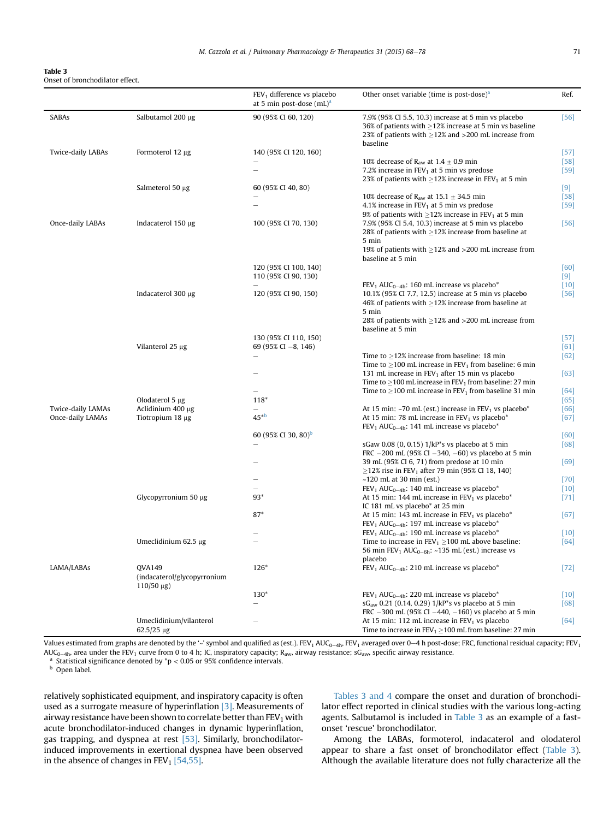<span id="page-3-0"></span>Onset of bronchodilator effect.

|                   |                                              | $FEV1$ difference vs placebo<br>at 5 min post-dose $(mL)^d$ | Other onset variable (time is post-dose) $a$                                                                                                                                                      | Ref.             |
|-------------------|----------------------------------------------|-------------------------------------------------------------|---------------------------------------------------------------------------------------------------------------------------------------------------------------------------------------------------|------------------|
| SABAs             | Salbutamol 200 μg                            | 90 (95% CI 60, 120)                                         | 7.9% (95% CI 5.5, 10.3) increase at 5 min vs placebo<br>36% of patients with $\geq$ 12% increase at 5 min vs baseline<br>23% of patients with $\geq$ 12% and $>$ 200 mL increase from<br>baseline | $[56]$           |
| Twice-daily LABAs | Formoterol 12 μg                             | 140 (95% CI 120, 160)                                       |                                                                                                                                                                                                   | $[57]$           |
|                   |                                              |                                                             | 10% decrease of $R_{\text{aw}}$ at 1.4 $\pm$ 0.9 min                                                                                                                                              | $[58]$           |
|                   |                                              | $\overline{\phantom{0}}$                                    | 7.2% increase in $FEV_1$ at 5 min vs predose                                                                                                                                                      | $[59]$           |
|                   |                                              |                                                             | 23% of patients with $\geq$ 12% increase in FEV <sub>1</sub> at 5 min                                                                                                                             |                  |
|                   | Salmeterol 50 μg                             | 60 (95% CI 40, 80)                                          |                                                                                                                                                                                                   | [9]              |
|                   |                                              |                                                             | 10% decrease of R <sub>aw</sub> at 15.1 $\pm$ 34.5 min                                                                                                                                            | $[58]$           |
|                   |                                              |                                                             | 4.1% increase in $FEV1$ at 5 min vs predose                                                                                                                                                       | $[59]$           |
|                   | Indacaterol 150 µg                           |                                                             | 9% of patients with $\geq$ 12% increase in FEV <sub>1</sub> at 5 min<br>7.9% (95% CI 5.4, 10.3) increase at 5 min vs placebo                                                                      |                  |
| Once-daily LABAs  |                                              | 100 (95% CI 70, 130)                                        | 28% of patients with $\geq$ 12% increase from baseline at<br>5 min<br>19% of patients with $\geq$ 12% and $>$ 200 mL increase from                                                                | $[56]$           |
|                   |                                              |                                                             | baseline at 5 min                                                                                                                                                                                 |                  |
|                   |                                              | 120 (95% CI 100, 140)<br>110 (95% CI 90, 130)               |                                                                                                                                                                                                   | [60]<br>[9]      |
|                   |                                              | $\overline{\phantom{0}}$                                    | $FEV1 AUC0-4h: 160 mL increase vs placebo*$                                                                                                                                                       | $[10]$           |
|                   | Indacaterol 300 µg                           | 120 (95% CI 90, 150)                                        | 10.1% (95% CI 7.7, 12.5) increase at 5 min vs placebo<br>46% of patients with $\geq$ 12% increase from baseline at<br>5 min                                                                       | $[56]$           |
|                   |                                              |                                                             | 28% of patients with $\geq$ 12% and $>$ 200 mL increase from<br>baseline at 5 min                                                                                                                 |                  |
|                   |                                              | 130 (95% CI 110, 150)                                       |                                                                                                                                                                                                   | $[57]$           |
|                   | Vilanterol 25 µg                             | 69 (95% CI $-8$ , 146)                                      |                                                                                                                                                                                                   | [61]             |
|                   |                                              | $\overline{\phantom{0}}$                                    | Time to $\geq$ 12% increase from baseline: 18 min                                                                                                                                                 | $[62]$           |
|                   |                                              |                                                             | Time to $\geq$ 100 mL increase in FEV <sub>1</sub> from baseline: 6 min                                                                                                                           |                  |
|                   |                                              |                                                             | 131 mL increase in FEV <sub>1</sub> after 15 min vs placebo<br>Time to $\geq$ 100 mL increase in FEV <sub>1</sub> from baseline: 27 min                                                           | $[63]$           |
|                   |                                              |                                                             | Time to $\geq$ 100 mL increase in FEV <sub>1</sub> from baseline 31 min                                                                                                                           | $[64]$           |
|                   | Olodaterol $5 \mu$ g                         | $118*$                                                      |                                                                                                                                                                                                   | [65]             |
| Twice-daily LAMAs | Aclidinium 400 μg                            |                                                             | At 15 min: $\sim$ 70 mL (est.) increase in FEV <sub>1</sub> vs placebo <sup>*</sup>                                                                                                               | [66]             |
| Once-daily LAMAs  | Tiotropium 18 μg                             | $45^{*b}$                                                   | At 15 min: 78 mL increase in $FEV_1$ vs placebo*                                                                                                                                                  | $[67]$           |
|                   |                                              |                                                             | $FEV1 AUC0-4h: 141 mL increase vs placebo*$                                                                                                                                                       |                  |
|                   |                                              | 60 (95% CI 30, 80) <sup>b</sup>                             |                                                                                                                                                                                                   | [60]             |
|                   |                                              |                                                             | sGaw 0.08 (0, 0.15) $1/kP^*$ s vs placebo at 5 min<br>FRC $-200$ mL (95% CI $-340$ , $-60$ ) vs placebo at 5 min                                                                                  | [68]             |
|                   |                                              |                                                             | 39 mL (95% CI 6, 71) from predose at 10 min                                                                                                                                                       | $[69]$           |
|                   |                                              |                                                             | $\geq$ 12% rise in FEV <sub>1</sub> after 79 min (95% CI 18, 140)                                                                                                                                 |                  |
|                   |                                              |                                                             | $~120$ mL at 30 min (est.)                                                                                                                                                                        | $[70]$           |
|                   |                                              |                                                             | $FEV1 AUC0-4h: 140 mL increase vs placebo*$                                                                                                                                                       | $[10]$           |
|                   | Glycopyrronium 50 μg                         | $93*$                                                       | At 15 min: 144 mL increase in $FEV_1$ vs placebo*<br>IC 181 mL vs placebo* at 25 min                                                                                                              | $[71]$           |
|                   |                                              | $87*$                                                       | At 15 min: 143 mL increase in $FEV_1$ vs placebo*                                                                                                                                                 | $[67]$           |
|                   |                                              |                                                             | $FEV1 AUC0-4h: 197 mL increase vs placebo*$                                                                                                                                                       |                  |
|                   | Umeclidinium 62.5 µg                         |                                                             | $FEV1 AUC0-4h: 190 mL increase vs placebo*$<br>Time to increase in $FEV_1 \ge 100$ mL above baseline:                                                                                             | $[10]$<br>$[64]$ |
|                   |                                              |                                                             | 56 min $FEV_1 AUC_{0-6h}$ : ~135 mL (est.) increase vs<br>placebo                                                                                                                                 |                  |
| LAMA/LABAs        | <b>OVA149</b><br>(indacaterol/glycopyrronium | $126*$                                                      | $FEV1 AUC0-4h: 210 mL increase vs placebo*$                                                                                                                                                       | $[72]$           |
|                   | $110/50 \text{ µg}$                          |                                                             |                                                                                                                                                                                                   |                  |
|                   |                                              | $130*$                                                      | $FEV1 AUC0-4h: 220 mL increase vs placebo*$                                                                                                                                                       | $[10]$           |
|                   |                                              |                                                             | $SG_{aw}$ 0.21 (0.14, 0.29) 1/kP <sup>*</sup> s vs placebo at 5 min<br>FRC $-300$ mL (95% CI $-440$ , $-160$ ) vs placebo at 5 min                                                                | [68]             |
|                   | Umeclidinium/vilanterol                      |                                                             | At 15 min: 112 mL increase in $FEV1$ vs placebo                                                                                                                                                   | [64]             |
|                   | $62.5/25 \mu g$                              |                                                             | Time to increase in $FEV_1 \ge 100$ mL from baseline: 27 min                                                                                                                                      |                  |

Values estimated from graphs are denoted by the '~' symbol and qualified as (est.). FEV<sub>1</sub> AUC<sub>0-4h</sub>, FEV<sub>1</sub> averaged over 0-4 h post-dose; FRC, functional residual capacity; FEV<sub>1</sub> AUC<sub>0-4h</sub>, area under the FEV<sub>1</sub> curve from 0 to 4 h; IC, inspiratory capacity; R<sub>aw</sub>, airway resistance; sG<sub>aw</sub>, specific airway resistance. a Statistical significance denoted by \*p < 0.05 or 95% confidence intervals.

<sup>b</sup> Open label.

relatively sophisticated equipment, and inspiratory capacity is often used as a surrogate measure of hyperinflation [\[3\].](#page-8-0) Measurements of airway resistance have been shown to correlate better than  $FEV<sub>1</sub>$  with acute bronchodilator-induced changes in dynamic hyperinflation, gas trapping, and dyspnea at rest  $[53]$ . Similarly, bronchodilatorinduced improvements in exertional dyspnea have been observed in the absence of changes in  $FEV<sub>1</sub>$  [\[54,55\].](#page-9-0)

Tables 3 and 4 compare the onset and duration of bronchodilator effect reported in clinical studies with the various long-acting agents. Salbutamol is included in Table 3 as an example of a fastonset 'rescue' bronchodilator.

Among the LABAs, formoterol, indacaterol and olodaterol appear to share a fast onset of bronchodilator effect (Table 3). Although the available literature does not fully characterize all the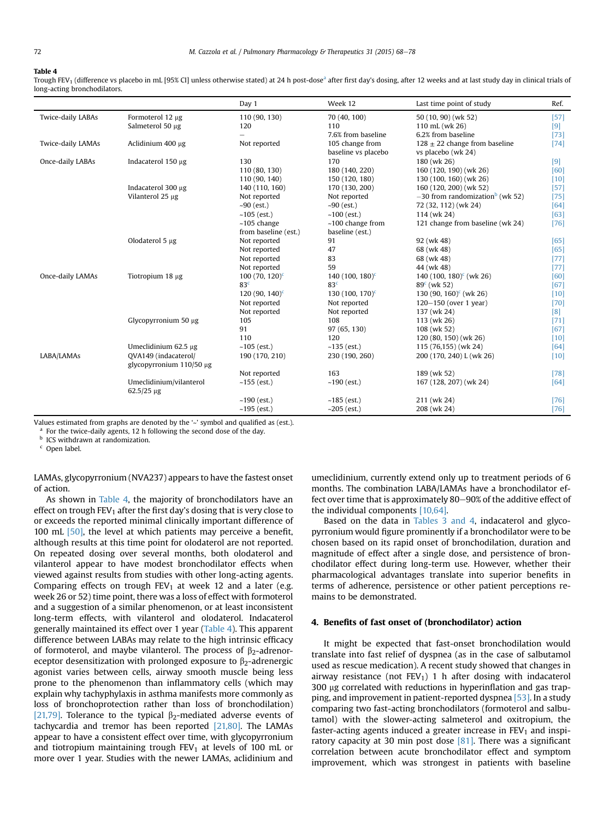Trough FEV<sub>1</sub> (difference vs placebo in mL [95% CI] unless otherwise stated) at 24 h post-dose<sup>a</sup> after first day's dosing, after 12 weeks and at last study day in clinical trials of long-acting bronchodilators.

|                   |                                            | Day 1                      | Week 12             | Last time point of study                      | Ref.   |
|-------------------|--------------------------------------------|----------------------------|---------------------|-----------------------------------------------|--------|
| Twice-daily LABAs | Formoterol 12 µg                           | 110 (90, 130)              | 70 (40, 100)        | 50 (10, 90) (wk 52)                           | $[57]$ |
|                   | Salmeterol 50 µg                           | 120                        | 110                 | 110 mL (wk 26)                                | [9]    |
|                   |                                            |                            | 7.6% from baseline  | 6.2% from baseline                            | $[73]$ |
| Twice-daily LAMAs | Aclidinium 400 µg                          | Not reported               | 105 change from     | $128 \pm 22$ change from baseline             | $[74]$ |
|                   |                                            |                            | baseline vs placebo | vs placebo (wk 24)                            |        |
| Once-daily LABAs  | Indacaterol 150 µg                         | 130                        | 170                 | 180 (wk 26)                                   | [9]    |
|                   |                                            | 110 (80, 130)              | 180 (140, 220)      | 160 (120, 190) (wk 26)                        | [60]   |
|                   |                                            | 110 (90, 140)              | 150 (120, 180)      | 130 (100, 160) (wk 26)                        | $[10]$ |
|                   | Indacaterol 300 µg                         | 140 (110, 160)             | 170 (130, 200)      | 160 (120, 200) (wk 52)                        | $[57]$ |
|                   | Vilanterol 25 µg                           | Not reported               | Not reported        | $-30$ from randomization <sup>b</sup> (wk 52) | $[75]$ |
|                   |                                            | $-90$ (est.)               | $-90$ (est.)        | 72 (32, 112) (wk 24)                          | [64]   |
|                   |                                            | $~105$ (est.)              | $~100$ (est.)       | 114 (wk 24)                                   | $[63]$ |
|                   |                                            | $~105$ change              | $~100$ change from  | 121 change from baseline (wk 24)              | $[76]$ |
|                   |                                            | from baseline (est.)       | baseline (est.)     |                                               |        |
|                   | Olodaterol 5 µg                            | Not reported               | 91                  | 92 (wk 48)                                    | [65]   |
|                   |                                            | Not reported               | 47                  | 68 (wk 48)                                    | [65]   |
|                   |                                            | Not reported               | 83                  | 68 (wk 48)                                    | $[77]$ |
|                   |                                            | Not reported               | 59                  | 44 (wk 48)                                    | $[77]$ |
| Once-daily LAMAs  | Tiotropium 18 µg                           | 100 (70, 120) <sup>c</sup> | 140 $(100, 180)^c$  | 140 $(100, 180)^c$ (wk 26)                    | [60]   |
|                   |                                            | 83 <sup>c</sup>            | 83 <sup>c</sup>     | $89^{\circ}$ (wk 52)                          | $[67]$ |
|                   |                                            | 120 (90, 140) <sup>c</sup> | 130 $(100, 170)^c$  | 130 (90, 160) <sup>c</sup> (wk 26)            | $[10]$ |
|                   |                                            | Not reported               | Not reported        | $120 - 150$ (over 1 year)                     | $[70]$ |
|                   |                                            | Not reported               | Not reported        | 137 (wk 24)                                   | [8]    |
|                   | Glycopyrronium 50 μg                       | 105                        | 108                 | 113 (wk 26)                                   | $[71]$ |
|                   |                                            | 91                         | 97 (65, 130)        | 108 (wk 52)                                   | [67]   |
|                   |                                            | 110                        | 120                 | 120 (80, 150) (wk 26)                         | $[10]$ |
|                   | Umeclidinium 62.5 µg                       | $~105$ (est.)              | $~135$ (est.)       | 115 (76,155) (wk 24)                          | [64]   |
| LABA/LAMAs        | QVA149 (indacaterol/                       | 190 (170, 210)             | 230 (190, 260)      | 200 (170, 240) L (wk 26)                      | $[10]$ |
|                   | glycopyrronium 110/50 μg                   |                            |                     |                                               |        |
|                   |                                            | Not reported               | 163                 | 189 (wk 52)                                   | $[78]$ |
|                   | Umeclidinium/vilanterol<br>$62.5/25 \mu g$ | $~155$ (est.)              | $~190$ (est.)       | 167 (128, 207) (wk 24)                        | [64]   |
|                   |                                            | $~190$ (est.)              | $~185$ (est.)       | 211 (wk 24)                                   | $[76]$ |
|                   |                                            | $~195$ (est.)              | $~205$ (est.)       | 208 (wk 24)                                   | $[76]$ |

Values estimated from graphs are denoted by the '~' symbol and qualified as (est.).

<sup>a</sup> For the twice-daily agents, 12 h following the second dose of the day.

**b** ICS withdrawn at randomization.

<sup>c</sup> Open label.

LAMAs, glycopyrronium (NVA237) appears to have the fastest onset of action.

As shown in Table 4, the majority of bronchodilators have an effect on trough  $FEV_1$  after the first day's dosing that is very close to or exceeds the reported minimal clinically important difference of 100 mL [\[50\]](#page-9-0), the level at which patients may perceive a benefit, although results at this time point for olodaterol are not reported. On repeated dosing over several months, both olodaterol and vilanterol appear to have modest bronchodilator effects when viewed against results from studies with other long-acting agents. Comparing effects on trough  $FEV<sub>1</sub>$  at week 12 and a later (e.g. week 26 or 52) time point, there was a loss of effect with formoterol and a suggestion of a similar phenomenon, or at least inconsistent long-term effects, with vilanterol and olodaterol. Indacaterol generally maintained its effect over 1 year (Table 4). This apparent difference between LABAs may relate to the high intrinsic efficacy of formoterol, and maybe vilanterol. The process of  $\beta_2$ -adrenoreceptor desensitization with prolonged exposure to  $\beta$ <sub>2</sub>-adrenergic agonist varies between cells, airway smooth muscle being less prone to the phenomenon than inflammatory cells (which may explain why tachyphylaxis in asthma manifests more commonly as loss of bronchoprotection rather than loss of bronchodilation) [\[21,79\].](#page-8-0) Tolerance to the typical  $\beta_2$ -mediated adverse events of tachycardia and tremor has been reported [\[21,80\].](#page-8-0) The LAMAs appear to have a consistent effect over time, with glycopyrronium and tiotropium maintaining trough  $FEV<sub>1</sub>$  at levels of 100 mL or more over 1 year. Studies with the newer LAMAs, aclidinium and umeclidinium, currently extend only up to treatment periods of 6 months. The combination LABA/LAMAs have a bronchodilator effect over time that is approximately 80-90% of the additive effect of the individual components [\[10,64\].](#page-8-0)

Based on the data in [Tables 3 and 4,](#page-3-0) indacaterol and glycopyrronium would figure prominently if a bronchodilator were to be chosen based on its rapid onset of bronchodilation, duration and magnitude of effect after a single dose, and persistence of bronchodilator effect during long-term use. However, whether their pharmacological advantages translate into superior benefits in terms of adherence, persistence or other patient perceptions remains to be demonstrated.

# 4. Benefits of fast onset of (bronchodilator) action

It might be expected that fast-onset bronchodilation would translate into fast relief of dyspnea (as in the case of salbutamol used as rescue medication). A recent study showed that changes in airway resistance (not  $FEV<sub>1</sub>$ ) 1 h after dosing with indacaterol 300 µg correlated with reductions in hyperinflation and gas trapping, and improvement in patient-reported dyspnea [\[53\]](#page-9-0). In a study comparing two fast-acting bronchodilators (formoterol and salbutamol) with the slower-acting salmeterol and oxitropium, the faster-acting agents induced a greater increase in  $FEV<sub>1</sub>$  and inspiratory capacity at 30 min post dose  $[81]$ . There was a significant correlation between acute bronchodilator effect and symptom improvement, which was strongest in patients with baseline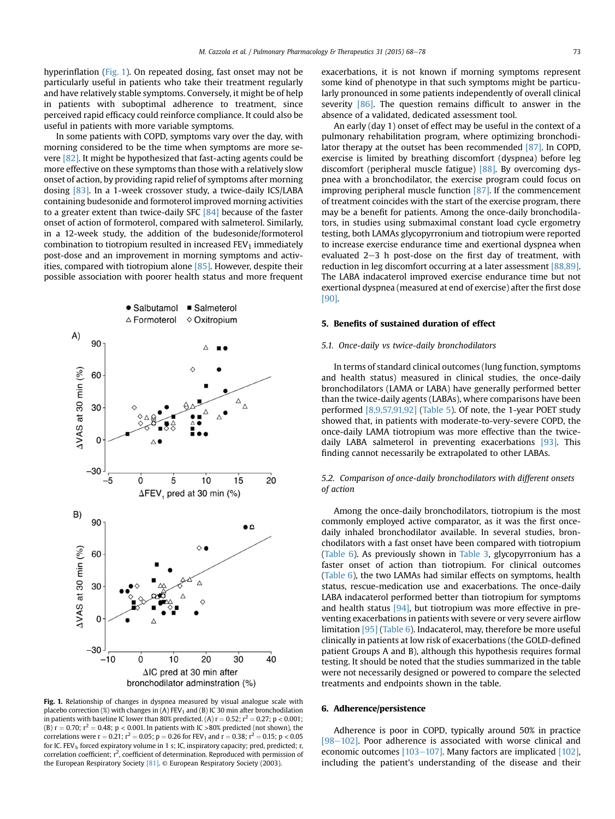hyperinflation (Fig. 1). On repeated dosing, fast onset may not be particularly useful in patients who take their treatment regularly and have relatively stable symptoms. Conversely, it might be of help in patients with suboptimal adherence to treatment, since perceived rapid efficacy could reinforce compliance. It could also be useful in patients with more variable symptoms.

In some patients with COPD, symptoms vary over the day, with morning considered to be the time when symptoms are more severe [\[82\]](#page-9-0). It might be hypothesized that fast-acting agents could be more effective on these symptoms than those with a relatively slow onset of action, by providing rapid relief of symptoms after morning dosing [\[83\]](#page-9-0). In a 1-week crossover study, a twice-daily ICS/LABA containing budesonide and formoterol improved morning activities to a greater extent than twice-daily SFC [\[84\]](#page-9-0) because of the faster onset of action of formoterol, compared with salmeterol. Similarly, in a 12-week study, the addition of the budesonide/formoterol combination to tiotropium resulted in increased  $FEV<sub>1</sub>$  immediately post-dose and an improvement in morning symptoms and activities, compared with tiotropium alone [\[85\].](#page-9-0) However, despite their possible association with poorer health status and more frequent



Fig. 1. Relationship of changes in dyspnea measured by visual analogue scale with placebo correction  $(\%)$  with changes in (A) FEV<sub>1</sub> and (B) IC 30 min after bronchodilation in patients with baseline IC lower than 80% predicted. (A)  $r = 0.52$ ;  $r^2 = 0.27$ ; p < 0.001; (B)  $r = 0.70$ ;  $r^2 = 0.48$ ; p < 0.001. In patients with IC >80% predicted (not shown), the correlations were  $r = 0.21$ ;  $r^2 = 0.05$ ;  $p = 0.26$  for FEV<sub>1</sub> and  $r = 0.38$ ;  $r^2 = 0.15$ ;  $p < 0.05$ for IC. FEV<sub>1</sub>, forced expiratory volume in 1 s; IC, inspiratory capacity; pred, predicted; r, correlation coefficient;  $r^2$ , coefficient of determination. Reproduced with permission of the European Respiratory Society [\[81\].](#page-9-0) © European Respiratory Society (2003).

exacerbations, it is not known if morning symptoms represent some kind of phenotype in that such symptoms might be particularly pronounced in some patients independently of overall clinical severity [\[86\].](#page-9-0) The question remains difficult to answer in the absence of a validated, dedicated assessment tool.

An early (day 1) onset of effect may be useful in the context of a pulmonary rehabilitation program, where optimizing bronchodilator therapy at the outset has been recommended [\[87\].](#page-9-0) In COPD, exercise is limited by breathing discomfort (dyspnea) before leg discomfort (peripheral muscle fatigue) [\[88\].](#page-9-0) By overcoming dyspnea with a bronchodilator, the exercise program could focus on improving peripheral muscle function [\[87\]](#page-9-0). If the commencement of treatment coincides with the start of the exercise program, there may be a benefit for patients. Among the once-daily bronchodilators, in studies using submaximal constant load cycle ergometry testing, both LAMAs glycopyrronium and tiotropium were reported to increase exercise endurance time and exertional dyspnea when evaluated  $2-3$  h post-dose on the first day of treatment, with reduction in leg discomfort occurring at a later assessment [\[88,89\].](#page-9-0) The LABA indacaterol improved exercise endurance time but not exertional dyspnea (measured at end of exercise) after the first dose [\[90\].](#page-9-0)

## 5. Benefits of sustained duration of effect

## 5.1. Once-daily vs twice-daily bronchodilators

In terms of standard clinical outcomes (lung function, symptoms and health status) measured in clinical studies, the once-daily bronchodilators (LAMA or LABA) have generally performed better than the twice-daily agents (LABAs), where comparisons have been performed [\[8,9,57,91,92\]](#page-8-0) ([Table 5\)](#page-6-0). Of note, the 1-year POET study showed that, in patients with moderate-to-very-severe COPD, the once-daily LAMA tiotropium was more effective than the twice-daily LABA salmeterol in preventing exacerbations [\[93\]](#page-10-0). This finding cannot necessarily be extrapolated to other LABAs.

# 5.2. Comparison of once-daily bronchodilators with different onsets of action

Among the once-daily bronchodilators, tiotropium is the most commonly employed active comparator, as it was the first oncedaily inhaled bronchodilator available. In several studies, bronchodilators with a fast onset have been compared with tiotropium ([Table 6\)](#page-6-0). As previously shown in [Table 3](#page-3-0), glycopyrronium has a faster onset of action than tiotropium. For clinical outcomes ([Table 6\)](#page-6-0), the two LAMAs had similar effects on symptoms, health status, rescue-medication use and exacerbations. The once-daily LABA indacaterol performed better than tiotropium for symptoms and health status [\[94\],](#page-10-0) but tiotropium was more effective in preventing exacerbations in patients with severe or very severe airflow limitation [\[95\]](#page-10-0) ([Table 6](#page-6-0)). Indacaterol, may, therefore be more useful clinically in patients at low risk of exacerbations (the GOLD-defined patient Groups A and B), although this hypothesis requires formal testing. It should be noted that the studies summarized in the table were not necessarily designed or powered to compare the selected treatments and endpoints shown in the table.

## 6. Adherence/persistence

Adherence is poor in COPD, typically around 50% in practice  $[98-102]$  $[98-102]$ . Poor adherence is associated with worse clinical and economic outcomes  $[103-107]$  $[103-107]$ . Many factors are implicated  $[102]$ , including the patient's understanding of the disease and their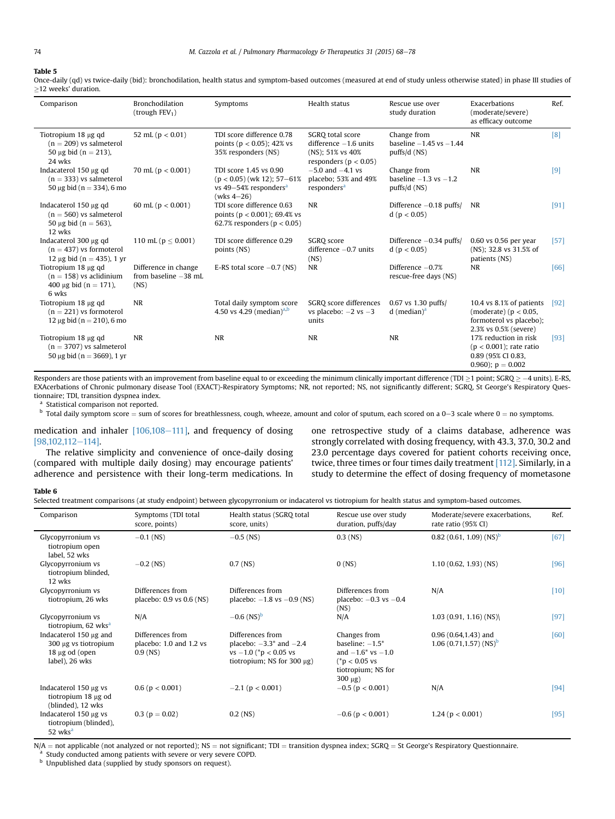<span id="page-6-0"></span>Once-daily (qd) vs twice-daily (bid): bronchodilation, health status and symptom-based outcomes (measured at end of study unless otherwise stated) in phase III studies of >12 weeks' duration.

| Comparison                                                                               | Bronchodilation<br>(trough $FEV_1$ )                   | Symptoms                                                                                                       | Health status                                                                                | Rescue use over<br>study duration                          | Exacerbations<br>(moderate/severe)<br>as efficacy outcome                                                   | Ref.   |
|------------------------------------------------------------------------------------------|--------------------------------------------------------|----------------------------------------------------------------------------------------------------------------|----------------------------------------------------------------------------------------------|------------------------------------------------------------|-------------------------------------------------------------------------------------------------------------|--------|
| Tiotropium 18 µg qd<br>$(n = 209)$ vs salmeterol<br>50 µg bid ( $n = 213$ ),<br>24 wks   | 52 mL ( $p < 0.01$ )                                   | TDI score difference 0.78<br>points ( $p < 0.05$ ); 42% vs<br>35% responders (NS)                              | SGRO total score<br>difference $-1.6$ units<br>(NS); 51% vs 40%<br>responders ( $p < 0.05$ ) | Change from<br>baseline $-1.45$ vs $-1.44$<br>puffs/d (NS) | <b>NR</b>                                                                                                   | [8]    |
| Indacaterol 150 µg qd<br>$(n = 333)$ vs salmeterol<br>50 µg bid ( $n = 334$ ), 6 mo      | 70 mL ( $p < 0.001$ )                                  | TDI score 1.45 vs 0.90<br>$(p < 0.05)$ (wk 12); 57-61%<br>vs 49–54% responders <sup>a</sup><br>(wks $4 - 26$ ) | $-5.0$ and $-4.1$ vs<br>placebo; 53% and 49%<br>responders <sup>a</sup>                      | Change from<br>baseline $-1.3$ vs $-1.2$<br>puffs/d (NS)   | <b>NR</b>                                                                                                   | [9]    |
| Indacaterol 150 µg qd<br>$(n = 560)$ vs salmeterol<br>50 µg bid ( $n = 563$ ),<br>12 wks | 60 mL ( $p < 0.001$ )                                  | TDI score difference 0.63<br>points ( $p < 0.001$ ); 69.4% vs<br>62.7% responders ( $p < 0.05$ )               | <b>NR</b>                                                                                    | Difference $-0.18$ puffs/<br>d ( $p < 0.05$ )              | <b>NR</b>                                                                                                   | [91]   |
| Indacaterol 300 µg qd<br>$(n = 437)$ vs formoterol<br>12 µg bid ( $n = 435$ ), 1 yr      | 110 mL ( $p \le 0.001$ )                               | TDI score difference 0.29<br>points (NS)                                                                       | SGRQ score<br>difference $-0.7$ units<br>(NS)                                                | Difference $-0.34$ puffs/<br>d ( $p < 0.05$ )              | 0.60 vs 0.56 per year<br>(NS); 32.8 vs 31.5% of<br>patients (NS)                                            | $[57]$ |
| Tiotropium 18 µg qd<br>$(n = 158)$ vs aclidinium<br>400 µg bid ( $n = 171$ ),<br>6 wks   | Difference in change<br>from baseline $-38$ mL<br>(NS) | E-RS total score $-0.7$ (NS)                                                                                   | <b>NR</b>                                                                                    | Difference $-0.7%$<br>rescue-free days (NS)                | <b>NR</b>                                                                                                   | [66]   |
| Tiotropium 18 µg qd<br>$(n = 221)$ vs formoterol<br>$12 \mu g$ bid (n = 210), 6 mo       | <b>NR</b>                                              | Total daily symptom score<br>4.50 vs 4.29 (median) <sup>a,b</sup>                                              | SGRO score differences<br>vs placebo: $-2$ vs $-3$<br>units                                  | 0.67 vs 1.30 puffs/<br>$d$ (median) <sup>a</sup>           | 10.4 vs 8.1% of patients<br>$(moderate)$ ( $p < 0.05$ ,<br>formoterol vs placebo);<br>2.3% vs 0.5% (severe) | [92]   |
| Tiotropium 18 µg qd<br>$(n = 3707)$ vs salmeterol<br>$50 \mu g$ bid (n = 3669), 1 yr     | <b>NR</b>                                              | <b>NR</b>                                                                                                      | <b>NR</b>                                                                                    | <b>NR</b>                                                  | 17% reduction in risk<br>$(p < 0.001)$ ; rate ratio<br>0.89 (95% CI 0.83,<br>0.960); $p = 0.002$            | $[93]$ |

Responders are those patients with an improvement from baseline equal to or exceeding the minimum clinically important difference (TDI  $\geq$  1 point; SGRQ  $\geq$  –4 units). E-RS, EXAcerbations of Chronic pulmonary disease Tool (EXACT)-Respiratory Symptoms; NR, not reported; NS, not significantly different; SGRQ, St George's Respiratory Questionnaire; TDI, transition dyspnea index.

<sup>1</sup> Statistical comparison not reported.

 $\frac{b}{c}$  Total daily symptom score = sum of scores for breathlessness, cough, wheeze, amount and color of sputum, each scored on a 0–3 scale where 0 = no symptoms.

medication and inhaler  $[106,108-111]$  $[106,108-111]$ , and frequency of dosing  $[98,102,112-114]$  $[98,102,112-114]$  $[98,102,112-114]$ .

The relative simplicity and convenience of once-daily dosing (compared with multiple daily dosing) may encourage patients' adherence and persistence with their long-term medications. In one retrospective study of a claims database, adherence was strongly correlated with dosing frequency, with 43.3, 37.0, 30.2 and 23.0 percentage days covered for patient cohorts receiving once, twice, three times or four times daily treatment [\[112\]](#page-10-0). Similarly, in a study to determine the effect of dosing frequency of mometasone

### Table 6

Selected treatment comparisons (at study endpoint) between glycopyrronium or indacaterol vs tiotropium for health status and symptom-based outcomes.

| Comparison                                                                         | Symptoms (TDI total<br>score, points)                     | Health status (SGRQ total<br>score, units)                                                                      | Rescue use over study<br>duration, puffs/day                                                                              | Moderate/severe exacerbations,<br>rate ratio (95% CI) | Ref.   |
|------------------------------------------------------------------------------------|-----------------------------------------------------------|-----------------------------------------------------------------------------------------------------------------|---------------------------------------------------------------------------------------------------------------------------|-------------------------------------------------------|--------|
| Glycopyrronium vs<br>tiotropium open<br>label, 52 wks                              | $-0.1$ (NS)                                               | $-0.5$ (NS)                                                                                                     | $0.3$ (NS)                                                                                                                | $0.82$ (0.61, 1.09) (NS) <sup>b</sup>                 | $[67]$ |
| Glycopyrronium vs<br>tiotropium blinded,<br>12 wks                                 | $-0.2$ (NS)                                               | $0.7$ (NS)                                                                                                      | $0$ (NS)                                                                                                                  | 1.10(0.62, 1.93)(NS)                                  | [96]   |
| Glycopyrronium vs                                                                  | Differences from                                          | Differences from                                                                                                | Differences from                                                                                                          | N/A                                                   | $[10]$ |
| tiotropium, 26 wks                                                                 | placebo: 0.9 vs 0.6 (NS)                                  | placebo: $-1.8$ vs $-0.9$ (NS)                                                                                  | placebo: $-0.3$ vs $-0.4$<br>(NS)                                                                                         |                                                       |        |
| Glycopyrronium vs<br>tiotropium, 62 wks <sup>a</sup>                               | N/A                                                       | $-0.6$ (NS) <sup>b</sup>                                                                                        | N/A                                                                                                                       | $1.03$ (0.91, 1.16) (NS)                              | $[97]$ |
| Indacaterol 150 µg and<br>300 µg vs tiotropium<br>18 µg od (open<br>label), 26 wks | Differences from<br>placebo: 1.0 and 1.2 vs<br>$0.9$ (NS) | Differences from<br>placebo: $-3.3^*$ and $-2.4$<br>vs $-1.0$ (*p < 0.05 vs<br>tiotropium; NS for $300 \mu g$ ) | Changes from<br>baseline: $-1.5^*$<br>and $-1.6$ * vs $-1.0$<br>$({}^*p < 0.05$ vs<br>tiotropium; NS for<br>$300 \mu g$ ) | $0.96(0.64, 1.43)$ and<br>$1.06(0.71, 1.57)(NS)^b$    | [60]   |
| Indacaterol 150 µg vs<br>tiotropium 18 µg od<br>(blinded), 12 wks                  | $0.6$ ( $p < 0.001$ )                                     | $-2.1$ ( $p < 0.001$ )                                                                                          | $-0.5$ (p < 0.001)                                                                                                        | N/A                                                   | $[94]$ |
| Indacaterol 150 µg vs<br>tiotropium (blinded),<br>$52$ wks <sup>a</sup>            | $0.3$ ( $p = 0.02$ )                                      | $0.2$ (NS)                                                                                                      | $-0.6$ (p < 0.001)                                                                                                        | $1.24$ ( $p < 0.001$ )                                | $[95]$ |

 $N/A$  = not applicable (not analyzed or not reported); NS = not significant; TDI = transition dyspnea index; SGRQ = St George's Respiratory Questionnaire. a Study conducted among patients with severe or very severe COPD.

**b** Unpublished data (supplied by study sponsors on request).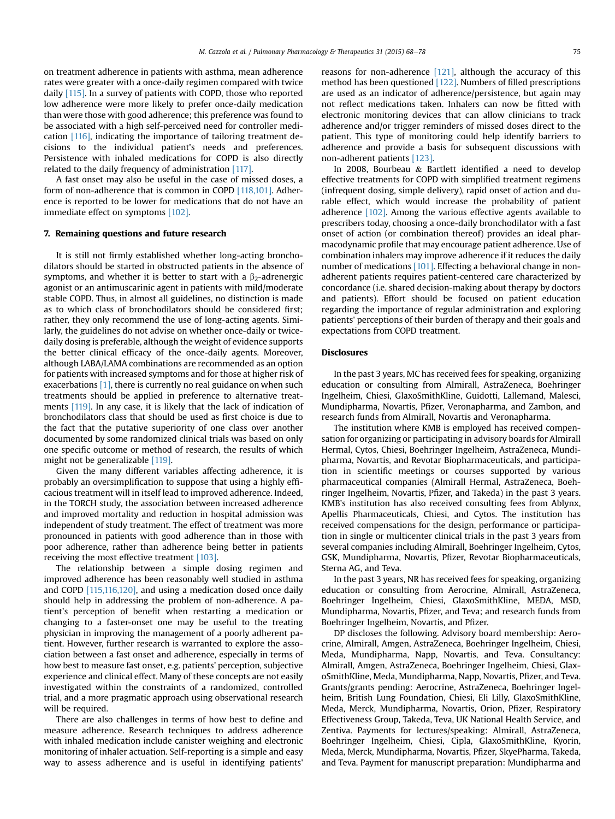on treatment adherence in patients with asthma, mean adherence rates were greater with a once-daily regimen compared with twice daily [\[115\]](#page-10-0). In a survey of patients with COPD, those who reported low adherence were more likely to prefer once-daily medication than were those with good adherence; this preference was found to be associated with a high self-perceived need for controller medication [\[116\]](#page-10-0), indicating the importance of tailoring treatment decisions to the individual patient's needs and preferences. Persistence with inhaled medications for COPD is also directly related to the daily frequency of administration [\[117\]](#page-10-0).

A fast onset may also be useful in the case of missed doses, a form of non-adherence that is common in COPD [\[118,101\]](#page-10-0). Adherence is reported to be lower for medications that do not have an immediate effect on symptoms [\[102\]](#page-10-0).

## 7. Remaining questions and future research

It is still not firmly established whether long-acting bronchodilators should be started in obstructed patients in the absence of symptoms, and whether it is better to start with a  $\beta_2$ -adrenergic agonist or an antimuscarinic agent in patients with mild/moderate stable COPD. Thus, in almost all guidelines, no distinction is made as to which class of bronchodilators should be considered first; rather, they only recommend the use of long-acting agents. Similarly, the guidelines do not advise on whether once-daily or twicedaily dosing is preferable, although the weight of evidence supports the better clinical efficacy of the once-daily agents. Moreover, although LABA/LAMA combinations are recommended as an option for patients with increased symptoms and for those at higher risk of exacerbations [\[1\]](#page-8-0), there is currently no real guidance on when such treatments should be applied in preference to alternative treatments [\[119\].](#page-10-0) In any case, it is likely that the lack of indication of bronchodilators class that should be used as first choice is due to the fact that the putative superiority of one class over another documented by some randomized clinical trials was based on only one specific outcome or method of research, the results of which might not be generalizable [\[119\]](#page-10-0).

Given the many different variables affecting adherence, it is probably an oversimplification to suppose that using a highly efficacious treatment will in itself lead to improved adherence. Indeed, in the TORCH study, the association between increased adherence and improved mortality and reduction in hospital admission was independent of study treatment. The effect of treatment was more pronounced in patients with good adherence than in those with poor adherence, rather than adherence being better in patients receiving the most effective treatment [\[103\].](#page-10-0)

The relationship between a simple dosing regimen and improved adherence has been reasonably well studied in asthma and COPD [\[115,116,120\],](#page-10-0) and using a medication dosed once daily should help in addressing the problem of non-adherence. A patient's perception of benefit when restarting a medication or changing to a faster-onset one may be useful to the treating physician in improving the management of a poorly adherent patient. However, further research is warranted to explore the association between a fast onset and adherence, especially in terms of how best to measure fast onset, e.g. patients' perception, subjective experience and clinical effect. Many of these concepts are not easily investigated within the constraints of a randomized, controlled trial, and a more pragmatic approach using observational research will be required.

There are also challenges in terms of how best to define and measure adherence. Research techniques to address adherence with inhaled medication include canister weighing and electronic monitoring of inhaler actuation. Self-reporting is a simple and easy way to assess adherence and is useful in identifying patients' reasons for non-adherence  $[121]$ , although the accuracy of this method has been questioned [\[122\]](#page-10-0). Numbers of filled prescriptions are used as an indicator of adherence/persistence, but again may not reflect medications taken. Inhalers can now be fitted with electronic monitoring devices that can allow clinicians to track adherence and/or trigger reminders of missed doses direct to the patient. This type of monitoring could help identify barriers to adherence and provide a basis for subsequent discussions with non-adherent patients [\[123\].](#page-10-0)

In 2008, Bourbeau & Bartlett identified a need to develop effective treatments for COPD with simplified treatment regimens (infrequent dosing, simple delivery), rapid onset of action and durable effect, which would increase the probability of patient adherence [\[102\].](#page-10-0) Among the various effective agents available to prescribers today, choosing a once-daily bronchodilator with a fast onset of action (or combination thereof) provides an ideal pharmacodynamic profile that may encourage patient adherence. Use of combination inhalers may improve adherence if it reduces the daily number of medications [\[101\].](#page-10-0) Effecting a behavioral change in nonadherent patients requires patient-centered care characterized by concordance (i.e. shared decision-making about therapy by doctors and patients). Effort should be focused on patient education regarding the importance of regular administration and exploring patients' perceptions of their burden of therapy and their goals and expectations from COPD treatment.

# Disclosures

In the past 3 years, MC has received fees for speaking, organizing education or consulting from Almirall, AstraZeneca, Boehringer Ingelheim, Chiesi, GlaxoSmithKline, Guidotti, Lallemand, Malesci, Mundipharma, Novartis, Pfizer, Veronapharma, and Zambon, and research funds from Almirall, Novartis and Veronapharma.

The institution where KMB is employed has received compensation for organizing or participating in advisory boards for Almirall Hermal, Cytos, Chiesi, Boehringer Ingelheim, AstraZeneca, Mundipharma, Novartis, and Revotar Biopharmaceuticals, and participation in scientific meetings or courses supported by various pharmaceutical companies (Almirall Hermal, AstraZeneca, Boehringer Ingelheim, Novartis, Pfizer, and Takeda) in the past 3 years. KMB's institution has also received consulting fees from Ablynx, Apellis Pharmaceuticals, Chiesi, and Cytos. The institution has received compensations for the design, performance or participation in single or multicenter clinical trials in the past 3 years from several companies including Almirall, Boehringer Ingelheim, Cytos, GSK, Mundipharma, Novartis, Pfizer, Revotar Biopharmaceuticals, Sterna AG, and Teva.

In the past 3 years, NR has received fees for speaking, organizing education or consulting from Aerocrine, Almirall, AstraZeneca, Boehringer Ingelheim, Chiesi, GlaxoSmithKline, MEDA, MSD, Mundipharma, Novartis, Pfizer, and Teva; and research funds from Boehringer Ingelheim, Novartis, and Pfizer.

DP discloses the following. Advisory board membership: Aerocrine, Almirall, Amgen, AstraZeneca, Boehringer Ingelheim, Chiesi, Meda, Mundipharma, Napp, Novartis, and Teva. Consultancy: Almirall, Amgen, AstraZeneca, Boehringer Ingelheim, Chiesi, GlaxoSmithKline, Meda, Mundipharma, Napp, Novartis, Pfizer, and Teva. Grants/grants pending: Aerocrine, AstraZeneca, Boehringer Ingelheim, British Lung Foundation, Chiesi, Eli Lilly, GlaxoSmithKline, Meda, Merck, Mundipharma, Novartis, Orion, Pfizer, Respiratory Effectiveness Group, Takeda, Teva, UK National Health Service, and Zentiva. Payments for lectures/speaking: Almirall, AstraZeneca, Boehringer Ingelheim, Chiesi, Cipla, GlaxoSmithKline, Kyorin, Meda, Merck, Mundipharma, Novartis, Pfizer, SkyePharma, Takeda, and Teva. Payment for manuscript preparation: Mundipharma and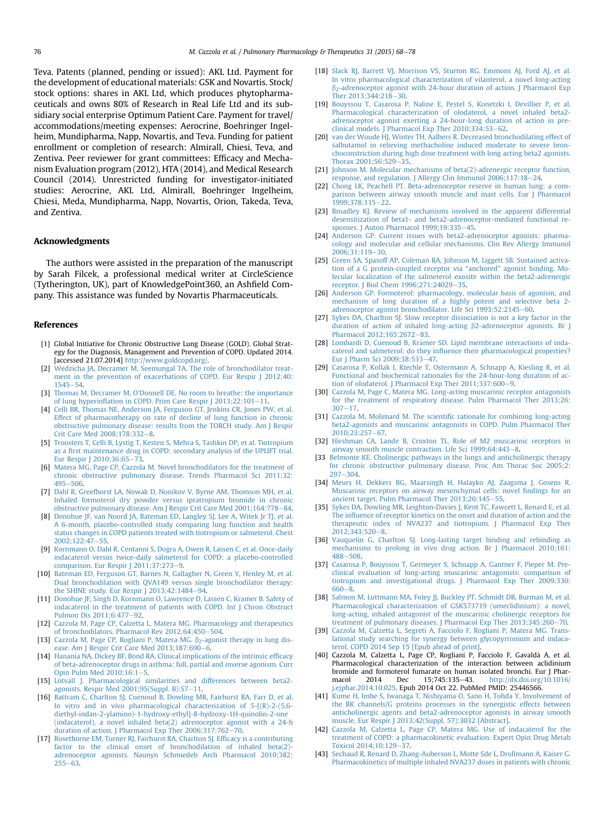<span id="page-8-0"></span>Teva. Patents (planned, pending or issued): AKL Ltd. Payment for the development of educational materials: GSK and Novartis. Stock/ stock options: shares in AKL Ltd, which produces phytopharmaceuticals and owns 80% of Research in Real Life Ltd and its subsidiary social enterprise Optimum Patient Care. Payment for travel/ accommodations/meeting expenses: Aerocrine, Boehringer Ingelheim, Mundipharma, Napp, Novartis, and Teva. Funding for patient enrollment or completion of research: Almirall, Chiesi, Teva, and Zentiva. Peer reviewer for grant committees: Efficacy and Mechanism Evaluation program (2012), HTA (2014), and Medical Research Council (2014). Unrestricted funding for investigator-initiated studies: Aerocrine, AKL Ltd, Almirall, Boehringer Ingelheim, Chiesi, Meda, Mundipharma, Napp, Novartis, Orion, Takeda, Teva, and Zentiva.

## Acknowledgments

The authors were assisted in the preparation of the manuscript by Sarah Filcek, a professional medical writer at CircleScience (Tytherington, UK), part of KnowledgePoint360, an Ashfield Company. This assistance was funded by Novartis Pharmaceuticals.

## References

- [1] Global Initiative for Chronic Obstructive Lung Disease (GOLD). Global Strategy for the Diagnosis, Management and Prevention of COPD. Updated 2014. [accessed 21.07.2014] [http://www.goldcopd.org/.](http://www.goldcopd.org/)
- [2] [Wedzicha JA, Decramer M, Seemungal TA. The role of bronchodilator treat](http://refhub.elsevier.com/S1094-5539(15)00026-7/sref1)[ment in the prevention of exacerbations of COPD. Eur Respir J 2012;40:](http://refhub.elsevier.com/S1094-5539(15)00026-7/sref1)  $1545 - 54.$  $1545 - 54.$  $1545 - 54.$  $1545 - 54.$
- [3] [Thomas M, Decramer M, O'Donnell DE. No room to breathe: the importance](http://refhub.elsevier.com/S1094-5539(15)00026-7/sref2) of lung hyperinfl[ation in COPD. Prim Care Respir J 2013;22:101](http://refhub.elsevier.com/S1094-5539(15)00026-7/sref2)-[11](http://refhub.elsevier.com/S1094-5539(15)00026-7/sref2).
- [4] [Celli BR, Thomas NE, Anderson JA, Ferguson GT, Jenkins CR, Jones PW, et al.](http://refhub.elsevier.com/S1094-5539(15)00026-7/sref3) [Effect of pharmacotherapy on rate of decline of lung function in chronic](http://refhub.elsevier.com/S1094-5539(15)00026-7/sref3) [obstructive pulmonary disease: results from the TORCH study. Am J Respir](http://refhub.elsevier.com/S1094-5539(15)00026-7/sref3) [Crit Care Med 2008;178:332](http://refhub.elsevier.com/S1094-5539(15)00026-7/sref3)-[8](http://refhub.elsevier.com/S1094-5539(15)00026-7/sref3).
- [5] [Troosters T, Celli B, Lystig T, Kesten S, Mehra S, Tashkin DP, et al. Tiotropium](http://refhub.elsevier.com/S1094-5539(15)00026-7/sref4) as a fi[rst maintenance drug in COPD: secondary analysis of the UPLIFT trial.](http://refhub.elsevier.com/S1094-5539(15)00026-7/sref4) Eur Respir I 2010:36:65-[73.](http://refhub.elsevier.com/S1094-5539(15)00026-7/sref4)
- [6] [Matera MG, Page CP, Cazzola M. Novel bronchodilators for the treatment of](http://refhub.elsevier.com/S1094-5539(15)00026-7/sref5) [chronic obstructive pulmonary disease. Trends Pharmacol Sci 2011;32:](http://refhub.elsevier.com/S1094-5539(15)00026-7/sref5) [495](http://refhub.elsevier.com/S1094-5539(15)00026-7/sref5)-[506](http://refhub.elsevier.com/S1094-5539(15)00026-7/sref5)
- [7] [Dahl R, Greefhorst LA, Nowak D, Nonikov V, Byrne AM, Thomson MH, et al.](http://refhub.elsevier.com/S1094-5539(15)00026-7/sref6) [Inhaled formoterol dry powder versus ipratropium bromide in chronic](http://refhub.elsevier.com/S1094-5539(15)00026-7/sref6) obstructive pulmonary disease. Am I Respir Crit Care Med  $2001:164:778-84$  $2001:164:778-84$ .
- [8] [Donohue JF, van Noord JA, Bateman ED, Langley SJ, Lee A, Witek Jr TJ, et al.](http://refhub.elsevier.com/S1094-5539(15)00026-7/sref7) [A 6-month, placebo-controlled study comparing lung function and health](http://refhub.elsevier.com/S1094-5539(15)00026-7/sref7) [status changes in COPD patients treated with tiotropium or salmeterol. Chest](http://refhub.elsevier.com/S1094-5539(15)00026-7/sref7) 2002:122:47-55
- [9] [Kornmann O, Dahl R, Centanni S, Dogra A, Owen R, Lassen C, et al. Once-daily](http://refhub.elsevier.com/S1094-5539(15)00026-7/sref8) [indacaterol versus twice-daily salmeterol for COPD: a placebo-controlled](http://refhub.elsevier.com/S1094-5539(15)00026-7/sref8) [comparison. Eur Respir J 2011;37:273](http://refhub.elsevier.com/S1094-5539(15)00026-7/sref8)-[9](http://refhub.elsevier.com/S1094-5539(15)00026-7/sref8).
- [10] [Bateman ED, Ferguson GT, Barnes N, Gallagher N, Green Y, Henley M, et al.](http://refhub.elsevier.com/S1094-5539(15)00026-7/sref9) [Dual bronchodilation with QVA149 versus single bronchodilator therapy:](http://refhub.elsevier.com/S1094-5539(15)00026-7/sref9) [the SHINE study. Eur Respir J 2013;42:1484](http://refhub.elsevier.com/S1094-5539(15)00026-7/sref9)-[94](http://refhub.elsevier.com/S1094-5539(15)00026-7/sref9).
- [11] [Donohue JF, Singh D, Kornmann O, Lawrence D, Lassen C, Kramer B. Safety of](http://refhub.elsevier.com/S1094-5539(15)00026-7/sref10) [indacaterol in the treatment of patients with COPD. Int J Chron Obstruct](http://refhub.elsevier.com/S1094-5539(15)00026-7/sref10) Pulmon Dis 2011:6:477-[92](http://refhub.elsevier.com/S1094-5539(15)00026-7/sref10).
- [12] [Cazzola M, Page CP, Calzetta L, Matera MG. Pharmacology and therapeutics](http://refhub.elsevier.com/S1094-5539(15)00026-7/sref11) of bronchodilators. Pharmacol Rev  $2012:64:450-504$  $2012:64:450-504$
- [13] [Cazzola M, Page CP, Rogliani P, Matera MG.](http://refhub.elsevier.com/S1094-5539(15)00026-7/sref12)  $\beta_2$ -agonist therapy in lung disease. Am I Respir Crit Care Med  $2013:187:690-6$  $2013:187:690-6$  $2013:187:690-6$ .
- [14] [Hanania NA, Dickey BF, Bond RA. Clinical implications of the intrinsic ef](http://refhub.elsevier.com/S1094-5539(15)00026-7/sref13)ficacy [of beta-adrenoceptor drugs in asthma: full, partial and inverse agonism. Curr](http://refhub.elsevier.com/S1094-5539(15)00026-7/sref13) [Opin Pulm Med 2010;16:1](http://refhub.elsevier.com/S1094-5539(15)00026-7/sref13)-[5.](http://refhub.elsevier.com/S1094-5539(15)00026-7/sref13)
- [15] Lötvall J. Pharmacological similarities and differences between beta2- $\frac{1}{2}$  [agonists. Respir Med 2001;95\(Suppl. B\):S7](http://refhub.elsevier.com/S1094-5539(15)00026-7/sref14)-[11.](http://refhub.elsevier.com/S1094-5539(15)00026-7/sref14)
- [16] [Battram C, Charlton SJ, Cuenoud B, Dowling MR, Fairhurst RA, Farr D, et al.](http://refhub.elsevier.com/S1094-5539(15)00026-7/sref15) [In vitro and in vivo pharmacological characterization of 5-\[\(R\)-2-\(5,6](http://refhub.elsevier.com/S1094-5539(15)00026-7/sref15) [diethyl-indan-2-ylamino\)-1-hydroxy-ethyl\]-8-hydroxy-1H-quinolin-2-one](http://refhub.elsevier.com/S1094-5539(15)00026-7/sref15) [\(indacaterol\), a novel inhaled beta\(2\) adrenoceptor agonist with a 24-h](http://refhub.elsevier.com/S1094-5539(15)00026-7/sref15) [duration of action. J Pharmacol Exp Ther 2006;317:762](http://refhub.elsevier.com/S1094-5539(15)00026-7/sref15)-[70](http://refhub.elsevier.com/S1094-5539(15)00026-7/sref15).
- [17] [Rosethorne EM, Turner RJ, Fairhurst RA, Charlton SJ. Ef](http://refhub.elsevier.com/S1094-5539(15)00026-7/sref16)ficacy is a contributing factor to the clinical onset of bronchodilation of inhaled beta(2) [adrenoceptor agonists. Naunyn Schmiedeb Arch Pharmacol 2010;382:](http://refhub.elsevier.com/S1094-5539(15)00026-7/sref16)  $255 - 63$  $255 - 63$ .
- [18] [Slack RJ, Barrett VJ, Morrison VS, Sturton RG, Emmons AJ, Ford AJ, et al.](http://refhub.elsevier.com/S1094-5539(15)00026-7/sref17) [In vitro pharmacological characterization of vilanterol, a novel long-acting](http://refhub.elsevier.com/S1094-5539(15)00026-7/sref17)  $\beta$  $\beta$  $\beta$ <sub>2</sub>-adrenoceptor agonist with 24-hour duration of action. I Pharmacol Exp [Ther 2013;344:218](http://refhub.elsevier.com/S1094-5539(15)00026-7/sref17)-[30.](http://refhub.elsevier.com/S1094-5539(15)00026-7/sref17)
- [19] [Bouyssou T, Casarosa P, Naline E, Pestel S, Konetzki I, Devillier P, et al.](http://refhub.elsevier.com/S1094-5539(15)00026-7/sref18) [Pharmacological characterization of olodaterol, a novel inhaled beta2](http://refhub.elsevier.com/S1094-5539(15)00026-7/sref18) [adrenoceptor agonist exerting a 24-hour-long duration of action in pre-](http://refhub.elsevier.com/S1094-5539(15)00026-7/sref18)clinical models. J Pharmacol Exp Ther 2010:334:53-[62](http://refhub.elsevier.com/S1094-5539(15)00026-7/sref18).
- [20] [van der Woude HJ, Winter TH, Aalbers R. Decreased bronchodilating effect of](http://refhub.elsevier.com/S1094-5539(15)00026-7/sref19) [salbutamol in relieving methacholine induced moderate to severe bron](http://refhub.elsevier.com/S1094-5539(15)00026-7/sref19)[choconstriction during high dose treatment with long acting beta2 agonists.](http://refhub.elsevier.com/S1094-5539(15)00026-7/sref19) Thorax  $2001;56:529-35$  $2001;56:529-35$ .
- [21] [Johnson M. Molecular mechanisms of beta\(2\)-adrenergic receptor function,](http://refhub.elsevier.com/S1094-5539(15)00026-7/sref20) [response, and regulation. J Allergy Clin Immunol 2006;117:18](http://refhub.elsevier.com/S1094-5539(15)00026-7/sref20)-[24.](http://refhub.elsevier.com/S1094-5539(15)00026-7/sref20)
- [22] [Chong LK, Peachell PT. Beta-adrenoceptor reserve in human lung: a com](http://refhub.elsevier.com/S1094-5539(15)00026-7/sref21)[parison between airway smooth muscle and mast cells. Eur J Pharmacol](http://refhub.elsevier.com/S1094-5539(15)00026-7/sref21)  $1999.378.115 - 22.$  $1999.378.115 - 22.$
- [23] [Broadley KJ. Review of mechanisms involved in the apparent differential](http://refhub.elsevier.com/S1094-5539(15)00026-7/sref22) [desensitization of beta1- and beta2-adrenoceptor-mediated functional re](http://refhub.elsevier.com/S1094-5539(15)00026-7/sref22)sponses. J Auton Pharmacol  $1999:19:335-45$ .
- [24] [Anderson GP. Current issues with beta2-adrenoceptor agonists: pharma](http://refhub.elsevier.com/S1094-5539(15)00026-7/sref23)[cology and molecular and cellular mechanisms. Clin Rev Allergy Immunol](http://refhub.elsevier.com/S1094-5539(15)00026-7/sref23) 2006:31:119-[30.](http://refhub.elsevier.com/S1094-5539(15)00026-7/sref23)
- [25] [Green SA, Spasoff AP, Coleman RA, Johnson M, Liggett SB. Sustained activa](http://refhub.elsevier.com/S1094-5539(15)00026-7/sref24)[tion of a G protein-coupled receptor via](http://refhub.elsevier.com/S1094-5539(15)00026-7/sref24) "anchored" agonist binding. Mo[lecular localization of the salmeterol exosite within the beta2-adrenergic](http://refhub.elsevier.com/S1094-5539(15)00026-7/sref24) [receptor. J Biol Chem 1996;271:24029](http://refhub.elsevier.com/S1094-5539(15)00026-7/sref24)-[35](http://refhub.elsevier.com/S1094-5539(15)00026-7/sref24).
- [26] [Anderson GP. Formoterol: pharmacology, molecular basis of agonism, and](http://refhub.elsevier.com/S1094-5539(15)00026-7/sref25) [mechanism of long duration of a highly potent and selective beta 2](http://refhub.elsevier.com/S1094-5539(15)00026-7/sref25) [adrenoceptor agonist bronchodilator. Life Sci 1993;52:2145](http://refhub.elsevier.com/S1094-5539(15)00026-7/sref25)-[60](http://refhub.elsevier.com/S1094-5539(15)00026-7/sref25).
- [27] [Sykes DA, Charlton SJ. Slow receptor dissociation is not a key factor in the](http://refhub.elsevier.com/S1094-5539(15)00026-7/sref26) [duration of action of inhaled long-acting](http://refhub.elsevier.com/S1094-5539(15)00026-7/sref26) b2-adrenoceptor agonists. Br J Pharmacol 2012:165:2672-[83.](http://refhub.elsevier.com/S1094-5539(15)00026-7/sref26)
- [28] [Lombardi D, Cuenoud B, Kr](http://refhub.elsevier.com/S1094-5539(15)00026-7/sref27)ä[mer SD. Lipid membrane interactions of inda](http://refhub.elsevier.com/S1094-5539(15)00026-7/sref27)caterol and salmeterol: do they infl[uence their pharmacological properties?](http://refhub.elsevier.com/S1094-5539(15)00026-7/sref27) [Eur J Pharm Sci 2009;38:533](http://refhub.elsevier.com/S1094-5539(15)00026-7/sref27)-[47](http://refhub.elsevier.com/S1094-5539(15)00026-7/sref27).
- [29] [Casarosa P, Kollak I, Kiechle T, Ostermann A, Schnapp A, Kiesling R, et al.](http://refhub.elsevier.com/S1094-5539(15)00026-7/sref28) [Functional and biochemical rationales for the 24-hour-long duration of ac](http://refhub.elsevier.com/S1094-5539(15)00026-7/sref28)[tion of olodaterol. J Pharmacol Exp Ther 2011;337:600](http://refhub.elsevier.com/S1094-5539(15)00026-7/sref28)-[9.](http://refhub.elsevier.com/S1094-5539(15)00026-7/sref28)
- [30] [Cazzola M, Page C, Matera MG. Long-acting muscarinic receptor antagonists](http://refhub.elsevier.com/S1094-5539(15)00026-7/sref29) [for the treatment of respiratory disease. Pulm Pharmacol Ther 2013;26:](http://refhub.elsevier.com/S1094-5539(15)00026-7/sref29)  $307 - 17$  $307 - 17$
- [31] Cazzola M, Molimard M. The scientifi[c rationale for combining long-acting](http://refhub.elsevier.com/S1094-5539(15)00026-7/sref30) [beta2-agonists and muscarinic antagonists in COPD. Pulm Pharmacol Ther](http://refhub.elsevier.com/S1094-5539(15)00026-7/sref30)  $2010:23:257-67.$  $2010:23:257-67.$
- [32] [Hirshman CA, Lande B, Croxton TL. Role of M2 muscarinic receptors in](http://refhub.elsevier.com/S1094-5539(15)00026-7/sref31) [airway smooth muscle contraction. Life Sci 1999;64:443](http://refhub.elsevier.com/S1094-5539(15)00026-7/sref31)-[8.](http://refhub.elsevier.com/S1094-5539(15)00026-7/sref31)
- [33 [Belmonte KE. Cholinergic pathways in the lungs and anticholinergic therapy](http://refhub.elsevier.com/S1094-5539(15)00026-7/sref32) [for chronic obstructive pulmonary disease. Proc Am Thorac Soc 2005;2:](http://refhub.elsevier.com/S1094-5539(15)00026-7/sref32)  $297 - 304$  $297 - 304$  $297 - 304$
- [34] [Meurs H, Dekkers BG, Maarsingh H, Halayko AJ, Zaagsma J, Gosens R.](http://refhub.elsevier.com/S1094-5539(15)00026-7/sref33) [Muscarinic receptors on airway mesenchymal cells: novel](http://refhub.elsevier.com/S1094-5539(15)00026-7/sref33) findings for an [ancient target. Pulm Pharmacol Ther 2013;26:145](http://refhub.elsevier.com/S1094-5539(15)00026-7/sref33)-[55](http://refhub.elsevier.com/S1094-5539(15)00026-7/sref33).
- [35] [Sykes DA, Dowling MR, Leighton-Davies J, Kent TC, Fawcett L, Renard E, et al.](http://refhub.elsevier.com/S1094-5539(15)00026-7/sref34) The infl[uence of receptor kinetics on the onset and duration of action and the](http://refhub.elsevier.com/S1094-5539(15)00026-7/sref34) [therapeutic index of NVA237 and tiotropium. J Pharmacol Exp Ther](http://refhub.elsevier.com/S1094-5539(15)00026-7/sref34) [2012;343:520](http://refhub.elsevier.com/S1094-5539(15)00026-7/sref34)-[8.](http://refhub.elsevier.com/S1094-5539(15)00026-7/sref34)
- [36] [Vauquelin G, Charlton SJ. Long-lasting target binding and rebinding as](http://refhub.elsevier.com/S1094-5539(15)00026-7/sref35) [mechanisms to prolong in vivo drug action. Br J Pharmacol 2010;161:](http://refhub.elsevier.com/S1094-5539(15)00026-7/sref35) [488](http://refhub.elsevier.com/S1094-5539(15)00026-7/sref35)-[508](http://refhub.elsevier.com/S1094-5539(15)00026-7/sref35).
- [37] [Casarosa P, Bouyssou T, Germeyer S, Schnapp A, Gantner F, Pieper M. Pre](http://refhub.elsevier.com/S1094-5539(15)00026-7/sref36)[clinical evaluation of long-acting muscarinic antagonists: comparison of](http://refhub.elsevier.com/S1094-5539(15)00026-7/sref36) [tiotropium and investigational drugs. J Pharmacol Exp Ther 2009;330:](http://refhub.elsevier.com/S1094-5539(15)00026-7/sref36)  $660 - 8.$  $660 - 8.$  $660 - 8.$
- [38] [Salmon M, Luttmann MA, Foley JJ, Buckley PT, Schmidt DB, Burman M, et al.](http://refhub.elsevier.com/S1094-5539(15)00026-7/sref37) [Pharmacological characterization of GSK573719 \(umeclidinium\): a novel,](http://refhub.elsevier.com/S1094-5539(15)00026-7/sref37) [long-acting, inhaled antagonist of the muscarinic cholinergic receptors for](http://refhub.elsevier.com/S1094-5539(15)00026-7/sref37) [treatment of pulmonary diseases. J Pharmacol Exp Ther 2013;345:260](http://refhub.elsevier.com/S1094-5539(15)00026-7/sref37)-[70](http://refhub.elsevier.com/S1094-5539(15)00026-7/sref37).
- [39] [Cazzola M, Calzetta L, Segreti A, Facciolo F, Rogliani P, Matera MG. Trans](http://refhub.elsevier.com/S1094-5539(15)00026-7/sref38)[lational study searching for synergy between glycopyrronium and indaca](http://refhub.elsevier.com/S1094-5539(15)00026-7/sref38)[terol. COPD 2014 Sep 15 \[Epub ahead of print\].](http://refhub.elsevier.com/S1094-5539(15)00026-7/sref38)
- [40] Cazzola M, Calzetta L, Page CP, Rogliani P, Facciolo F, Gavaldà A, et al. Pharmacological characterization of the interaction between aclidinium bromide and formoterol fumarate on human isolated bronchi. Eur J Phar-<br>macol 2014 Dec 15;745:135–43. http://dx.doi.org/10.1016/ macol 2014 Dec 15;745:135-43. [http://dx.doi.org/10.1016/](http://dx.doi.org/10.1016/j.ejphar.2014.10.025) [j.ejphar.2014.10.025](http://dx.doi.org/10.1016/j.ejphar.2014.10.025). Epub 2014 Oct 22. PubMed PMID: 25446566.
- [41] [Kume H, Imbe S, Iwanaga T, Nishiyama O, Sano H, Tohda Y. Involvement of](http://refhub.elsevier.com/S1094-5539(15)00026-7/sref40) [the BK channels/G proteins processes in the synergistic effects between](http://refhub.elsevier.com/S1094-5539(15)00026-7/sref40) [anticholinergic agents and beta2-adrenoceptor agonists in airway smooth](http://refhub.elsevier.com/S1094-5539(15)00026-7/sref40) [muscle. Eur Respir J 2013;42\(Suppl. 57\):3032 \[Abstract\].](http://refhub.elsevier.com/S1094-5539(15)00026-7/sref40)
- [42] [Cazzola M, Calzetta L, Page CP, Matera MG. Use of indacaterol for the](http://refhub.elsevier.com/S1094-5539(15)00026-7/sref41) [treatment of COPD: a pharmacokinetic evaluation. Expert Opin Drug Metab](http://refhub.elsevier.com/S1094-5539(15)00026-7/sref41) [Toxicol 2014;10:129](http://refhub.elsevier.com/S1094-5539(15)00026-7/sref41)-[37.](http://refhub.elsevier.com/S1094-5539(15)00026-7/sref41)
- [43] [Sechaud R, Renard D, Zhang-Auberson L, Motte Sde L, Drollmann A, Kaiser G.](http://refhub.elsevier.com/S1094-5539(15)00026-7/sref42) [Pharmacokinetics of multiple inhaled NVA237 doses in patients with chronic](http://refhub.elsevier.com/S1094-5539(15)00026-7/sref42)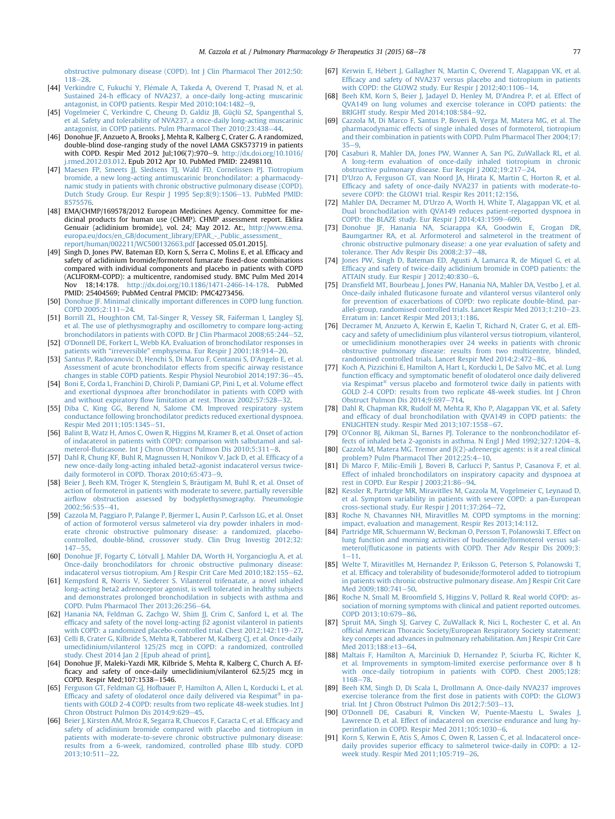<span id="page-9-0"></span>[obstructive pulmonary disease \(COPD\). Int J Clin Pharmacol Ther 2012;50:](http://refhub.elsevier.com/S1094-5539(15)00026-7/sref42)  $118 - 28$  $118 - 28$  $118 - 28$ 

- [44] [Verkindre C, Fukuchi Y, Flemale A, Takeda A, Overend T, Prasad N, et al.](http://refhub.elsevier.com/S1094-5539(15)00026-7/sref43) Sustained 24-h effi[cacy of NVA237, a once-daily long-acting muscarinic](http://refhub.elsevier.com/S1094-5539(15)00026-7/sref43) antagonist, in COPD patients. Respir Med  $2010;104;1482-9$  $2010;104;1482-9$ .
- [45] Vogelmeier C, Verkindre C, Cheung D, Galdiz [B, Güçlü SZ, Spangenthal S, [et al. Safety and tolerability of NVA237, a once-daily long-acting muscarinic](http://refhub.elsevier.com/S1094-5539(15)00026-7/sref44) antagonist, in COPD patients. Pulm Pharmacol Ther  $2010, 23:438-44$ .
- [46] Donohue JF, Anzueto A, Brooks J, Mehta R, Kalberg C, Crater G, A randomized, double-blind dose-ranging study of the novel LAMA GSK573719 in patients with COPD. Respir Med 2012 Jul;106(7):970-9. [http://dx.doi.org/10.1016/](http://dx.doi.org/10.1016/j.rmed.2012.03.012) [j.rmed.2012.03.012.](http://dx.doi.org/10.1016/j.rmed.2012.03.012) Epub 2012 Apr 10. PubMed PMID: 22498110.
- [47] [Maesen FP, Smeets JJ, Sledsens TJ, Wald FD, Cornelissen PJ. Tiotropium](http://refhub.elsevier.com/S1094-5539(15)00026-7/sref46) [bromide, a new long-acting antimuscarinic bronchodilator: a pharmacody](http://refhub.elsevier.com/S1094-5539(15)00026-7/sref46)[namic study in patients with chronic obstructive pulmonary disease \(COPD\).](http://refhub.elsevier.com/S1094-5539(15)00026-7/sref46) [Dutch Study Group. Eur Respir J 1995 Sep;8\(9\):1506](http://refhub.elsevier.com/S1094-5539(15)00026-7/sref46)-[13. PubMed PMID:](http://refhub.elsevier.com/S1094-5539(15)00026-7/sref46) [8575576.](http://refhub.elsevier.com/S1094-5539(15)00026-7/sref46)
- [48] EMA/CHMP/169578/2012 European Medicines Agency. Committee for medicinal products for human use (CHMP). CHMP assessment report. Eklira Genuair (aclidinium bromide), vol. 24; May 2012. At:, [http://www.ema.](http://www.ema.europa.eu/docs/en_GB/document_library/EPAR_-_Public_assessment_report/human/002211/WC500132663.pdf) [europa.eu/docs/en\\_GB/document\\_library/EPAR\\_-\\_Public\\_assessment\\_](http://www.ema.europa.eu/docs/en_GB/document_library/EPAR_-_Public_assessment_report/human/002211/WC500132663.pdf) [report/human/002211/WC500132663.pdf](http://www.ema.europa.eu/docs/en_GB/document_library/EPAR_-_Public_assessment_report/human/002211/WC500132663.pdf) [accessed 05.01.2015].
- [49] Singh D, Jones PW, Bateman ED, Korn S, Serra C, Molins E, et al. Efficacy and safety of aclidinium bromide/formoterol fumarate fixed-dose combinations compared with individual components and placebo in patients with COPD (ACLIFORM-COPD): a multicentre, randomised study. BMC Pulm Med 2014 Nov 18;14:178. <http://dx.doi.org/10.1186/1471-2466-14-178>. PubMed PMID: 25404569; PubMed Central PMCID: PMC4273456.
- [50] [Donohue JF. Minimal clinically important differences in COPD lung function.](http://refhub.elsevier.com/S1094-5539(15)00026-7/sref49) COPD 2005:2:111-[24](http://refhub.elsevier.com/S1094-5539(15)00026-7/sref49).
- [51] [Borrill ZL, Houghton CM, Tal-Singer R, Vessey SR, Faiferman I, Langley SJ,](http://refhub.elsevier.com/S1094-5539(15)00026-7/sref50) [et al. The use of plethysmography and oscillometry to compare long-acting](http://refhub.elsevier.com/S1094-5539(15)00026-7/sref50) [bronchodilators in patients with COPD. Br J Clin Pharmacol 2008;65:244](http://refhub.elsevier.com/S1094-5539(15)00026-7/sref50)-[52](http://refhub.elsevier.com/S1094-5539(15)00026-7/sref50).
- [52] [O'Donnell DE, Forkert L, Webb KA. Evaluation of bronchodilator responses in](http://refhub.elsevier.com/S1094-5539(15)00026-7/sref51) patients with "irreversible" [emphysema. Eur Respir J 2001;18:914](http://refhub.elsevier.com/S1094-5539(15)00026-7/sref51)-[20](http://refhub.elsevier.com/S1094-5539(15)00026-7/sref51).
- [53] [Santus P, Radovanovic D, Henchi S, Di Marco F, Centanni S, D'Angelo E, et al.](http://refhub.elsevier.com/S1094-5539(15)00026-7/sref52) [Assessment of acute bronchodilator effects from speci](http://refhub.elsevier.com/S1094-5539(15)00026-7/sref52)fic airway resistance [changes in stable COPD patients. Respir Physiol Neurobiol 2014;197:36](http://refhub.elsevier.com/S1094-5539(15)00026-7/sref52)-[45](http://refhub.elsevier.com/S1094-5539(15)00026-7/sref52).
- [54] [Boni E, Corda L, Franchini D, Chiroli P, Damiani GP, Pini L, et al. Volume effect](http://refhub.elsevier.com/S1094-5539(15)00026-7/sref53) [and exertional dyspnoea after bronchodilator in patients with COPD with](http://refhub.elsevier.com/S1094-5539(15)00026-7/sref53) and without expiratory fl[ow limitation at rest. Thorax 2002;57:528](http://refhub.elsevier.com/S1094-5539(15)00026-7/sref53)-[32](http://refhub.elsevier.com/S1094-5539(15)00026-7/sref53).
- [55] [Diba C, King GG, Berend N, Salome CM. Improved respiratory system](http://refhub.elsevier.com/S1094-5539(15)00026-7/sref54) [conductance following bronchodilator predicts reduced exertional dyspnoea.](http://refhub.elsevier.com/S1094-5539(15)00026-7/sref54) [Respir Med 2011;105:1345](http://refhub.elsevier.com/S1094-5539(15)00026-7/sref54)-[51](http://refhub.elsevier.com/S1094-5539(15)00026-7/sref54).
- [56] [Balint B, Watz H, Amos C, Owen R, Higgins M, Kramer B, et al. Onset of action](http://refhub.elsevier.com/S1094-5539(15)00026-7/sref55) [of indacaterol in patients with COPD: comparison with salbutamol and sal](http://refhub.elsevier.com/S1094-5539(15)00026-7/sref55)meterol-fl[uticasone. Int J Chron Obstruct Pulmon Dis 2010;5:311](http://refhub.elsevier.com/S1094-5539(15)00026-7/sref55)-[8](http://refhub.elsevier.com/S1094-5539(15)00026-7/sref55).
- [57] [Dahl R, Chung KF, Buhl R, Magnussen H, Nonikov V, Jack D, et al. Ef](http://refhub.elsevier.com/S1094-5539(15)00026-7/sref56)ficacy of a [new once-daily long-acting inhaled beta2-agonist indacaterol versus twice](http://refhub.elsevier.com/S1094-5539(15)00026-7/sref56)daily formoterol in COPD. Thorax  $2010;65:473-9$ .
- [58] [Beier J, Beeh KM, Tr](http://refhub.elsevier.com/S1094-5539(15)00026-7/sref57)ö[ger K, Stenglein S, Br](http://refhub.elsevier.com/S1094-5539(15)00026-7/sref57)äutigam M, Buhl R, et al. Onset of [action of formoterol in patients with moderate to severe, partially reversible](http://refhub.elsevier.com/S1094-5539(15)00026-7/sref57) airfl[ow obstruction assessed by bodyplethysmography. Pneumologie](http://refhub.elsevier.com/S1094-5539(15)00026-7/sref57) [2002;56:535](http://refhub.elsevier.com/S1094-5539(15)00026-7/sref57)-[41.](http://refhub.elsevier.com/S1094-5539(15)00026-7/sref57)
- [59] [Cazzola M, Paggiaro P, Palange P, Bjermer L, Ausin P, Carlsson LG, et al. Onset](http://refhub.elsevier.com/S1094-5539(15)00026-7/sref58) [of action of formoterol versus salmeterol via dry powder inhalers in mod](http://refhub.elsevier.com/S1094-5539(15)00026-7/sref58)[erate chronic obstructive pulmonary disease: a randomized, placebo](http://refhub.elsevier.com/S1094-5539(15)00026-7/sref58)[controlled, double-blind, crossover study. Clin Drug Investig 2012;32:](http://refhub.elsevier.com/S1094-5539(15)00026-7/sref58)  $147 - 55$  $147 - 55$  $147 - 55$ .
- [60] Donohue JF, Fogarty C, Lötvall J, Mahler DA, Worth H, Yorgancioglu A, et al. [Once-daily bronchodilators for chronic obstructive pulmonary disease:](http://refhub.elsevier.com/S1094-5539(15)00026-7/sref59) [indacaterol versus tiotropium. Am J Respir Crit Care Med 2010;182:155](http://refhub.elsevier.com/S1094-5539(15)00026-7/sref59)-[62](http://refhub.elsevier.com/S1094-5539(15)00026-7/sref59).
- [61] [Kempsford R, Norris V, Siederer S. Vilanterol trifenatate, a novel inhaled](http://refhub.elsevier.com/S1094-5539(15)00026-7/sref60) [long-acting beta2 adrenoceptor agonist, is well tolerated in healthy subjects](http://refhub.elsevier.com/S1094-5539(15)00026-7/sref60) [and demonstrates prolonged bronchodilation in subjects with asthma and](http://refhub.elsevier.com/S1094-5539(15)00026-7/sref60) [COPD. Pulm Pharmacol Ther 2013;26:256](http://refhub.elsevier.com/S1094-5539(15)00026-7/sref60)-[64.](http://refhub.elsevier.com/S1094-5539(15)00026-7/sref60)
- [62] [Hanania NA, Feldman G, Zachgo W, Shim JJ, Crim C, Sanford L, et al. The](http://refhub.elsevier.com/S1094-5539(15)00026-7/sref61) effi[cacy and safety of the novel long-acting](http://refhub.elsevier.com/S1094-5539(15)00026-7/sref61)  $\beta$ 2 agonist vilanterol in patients [with COPD: a randomized placebo-controlled trial. Chest 2012;142:119](http://refhub.elsevier.com/S1094-5539(15)00026-7/sref61)-[27](http://refhub.elsevier.com/S1094-5539(15)00026-7/sref61).
- [63] [Celli B, Crater G, Kilbride S, Mehta R, Tabberer M, Kalberg CJ, et al. Once-daily](http://refhub.elsevier.com/S1094-5539(15)00026-7/sref62) [umeclidinium/vilanterol 125/25 mcg in COPD: a randomized, controlled](http://refhub.elsevier.com/S1094-5539(15)00026-7/sref62) [study. Chest 2014 Jan 2 \[Epub ahead of print\]](http://refhub.elsevier.com/S1094-5539(15)00026-7/sref62).
- [64] Donohue JF, Maleki-Yazdi MR, Kilbride S, Mehta R, Kalberg C, Church A. Efficacy and safety of once-daily umeclidinium/vilanterol 62.5/25 mcg in COPD. Respir Med;107:1538-1546.
- [65] [Ferguson GT, Feldman GJ, Hofbauer P, Hamilton A, Allen L, Korducki L, et al.](http://refhub.elsevier.com/S1094-5539(15)00026-7/sref63) Effi[cacy](http://refhub.elsevier.com/S1094-5539(15)00026-7/sref63) [and](http://refhub.elsevier.com/S1094-5539(15)00026-7/sref63) [safety](http://refhub.elsevier.com/S1094-5539(15)00026-7/sref63) [of](http://refhub.elsevier.com/S1094-5539(15)00026-7/sref63) [olodaterol](http://refhub.elsevier.com/S1094-5539(15)00026-7/sref63) [once](http://refhub.elsevier.com/S1094-5539(15)00026-7/sref63) [daily](http://refhub.elsevier.com/S1094-5539(15)00026-7/sref63) [delivered](http://refhub.elsevier.com/S1094-5539(15)00026-7/sref63) [via](http://refhub.elsevier.com/S1094-5539(15)00026-7/sref63) [Respimat](http://refhub.elsevier.com/S1094-5539(15)00026-7/sref63)<sup>®</sup> [in pa](http://refhub.elsevier.com/S1094-5539(15)00026-7/sref63)[tients with GOLD 2-4 COPD: results from two replicate 48-week studies. Int J](http://refhub.elsevier.com/S1094-5539(15)00026-7/sref63) [Chron Obstruct Pulmon Dis 2014;9:629](http://refhub.elsevier.com/S1094-5539(15)00026-7/sref63)-[45.](http://refhub.elsevier.com/S1094-5539(15)00026-7/sref63)
- [66] Beier J, Kirsten AM, Mróz R, Segarra R, Chuecos F, Caracta C, et al. Efficacy and [safety of aclidinium bromide compared with placebo and tiotropium in](http://refhub.elsevier.com/S1094-5539(15)00026-7/sref64) [patients with moderate-to-severe chronic obstructive pulmonary disease:](http://refhub.elsevier.com/S1094-5539(15)00026-7/sref64) [results from a 6-week, randomized, controlled phase IIIb study. COPD](http://refhub.elsevier.com/S1094-5539(15)00026-7/sref64) 2013:10:511-[22.](http://refhub.elsevier.com/S1094-5539(15)00026-7/sref64)
- [67] [Kerwin E, Hebert J, Gallagher N, Martin C, Overend T, Alagappan VK, et al.](http://refhub.elsevier.com/S1094-5539(15)00026-7/sref65) Effi[cacy and safety of NVA237 versus placebo and tiotropium in patients](http://refhub.elsevier.com/S1094-5539(15)00026-7/sref65) [with COPD: the GLOW2 study. Eur Respir J 2012;40:1106](http://refhub.elsevier.com/S1094-5539(15)00026-7/sref65)-[14](http://refhub.elsevier.com/S1094-5539(15)00026-7/sref65).
- [68] [Beeh KM, Korn S, Beier J, Jadayel D, Henley M, D'Andrea P, et al. Effect of](http://refhub.elsevier.com/S1094-5539(15)00026-7/sref66) [QVA149 on lung volumes and exercise tolerance in COPD patients: the](http://refhub.elsevier.com/S1094-5539(15)00026-7/sref66) [BRIGHT study. Respir Med 2014;108:584](http://refhub.elsevier.com/S1094-5539(15)00026-7/sref66)-[92](http://refhub.elsevier.com/S1094-5539(15)00026-7/sref66).
- [69] [Cazzola M, Di Marco F, Santus P, Boveri B, Verga M, Matera MG, et al. The](http://refhub.elsevier.com/S1094-5539(15)00026-7/sref67) [pharmacodynamic effects of single inhaled doses of formoterol, tiotropium](http://refhub.elsevier.com/S1094-5539(15)00026-7/sref67) [and their combination in patients with COPD. Pulm Pharmacol Ther 2004;17:](http://refhub.elsevier.com/S1094-5539(15)00026-7/sref67)  $35 - 9$  $35 - 9$
- [70] [Casaburi R, Mahler DA, Jones PW, Wanner A, San PG, ZuWallack RL, et al.](http://refhub.elsevier.com/S1094-5539(15)00026-7/sref68) [A long-term evaluation of once-daily inhaled tiotropium in chronic](http://refhub.elsevier.com/S1094-5539(15)00026-7/sref68) obstructive pulmonary disease. Eur Respir I  $2002:19:217-24$ .
- [71] [D'Urzo A, Ferguson GT, van Noord JA, Hirata K, Martin C, Horton R, et al.](http://refhub.elsevier.com/S1094-5539(15)00026-7/sref69) Effi[cacy and safety of once-daily NVA237 in patients with moderate-to](http://refhub.elsevier.com/S1094-5539(15)00026-7/sref69)[severe COPD: the GLOW1 trial. Respir Res 2011;12:156.](http://refhub.elsevier.com/S1094-5539(15)00026-7/sref69)
- [72] [Mahler DA, Decramer M, D'Urzo A, Worth H, White T, Alagappan VK, et al.](http://refhub.elsevier.com/S1094-5539(15)00026-7/sref70) [Dual bronchodilation with QVA149 reduces patient-reported dyspnoea in](http://refhub.elsevier.com/S1094-5539(15)00026-7/sref70) COPD: the BLAZE study. Eur Respir J  $2014;43:1599-609$  $2014;43:1599-609$ .
- [73] [Donohue JF, Hanania NA, Sciarappa KA, Goodwin E, Grogan DR,](http://refhub.elsevier.com/S1094-5539(15)00026-7/sref71) [Baumgartner RA, et al. Arformoterol and salmeterol in the treatment of](http://refhub.elsevier.com/S1094-5539(15)00026-7/sref71) [chronic obstructive pulmonary disease: a one year evaluation of safety and](http://refhub.elsevier.com/S1094-5539(15)00026-7/sref71) tolerance. Ther Adv Respir Dis  $2008;2:37-48$ .
- [74] [Jones PW, Singh D, Bateman ED, Agusti A, Lamarca R, de Miquel G, et al.](http://refhub.elsevier.com/S1094-5539(15)00026-7/sref72) Effi[cacy and safety of twice-daily aclidinium bromide in COPD patients: the](http://refhub.elsevier.com/S1094-5539(15)00026-7/sref72) [ATTAIN study. Eur Respir J 2012;40:830](http://refhub.elsevier.com/S1094-5539(15)00026-7/sref72)-[6](http://refhub.elsevier.com/S1094-5539(15)00026-7/sref72).
- [75] Dransfi[eld MT, Bourbeau J, Jones PW, Hanania NA, Mahler DA, Vestbo J, et al.](http://refhub.elsevier.com/S1094-5539(15)00026-7/sref73) Once-daily inhaled fl[uticasone furoate and vilanterol versus vilanterol only](http://refhub.elsevier.com/S1094-5539(15)00026-7/sref73) [for prevention of exacerbations of COPD: two replicate double-blind, par](http://refhub.elsevier.com/S1094-5539(15)00026-7/sref73)[allel-group, randomised controlled trials. Lancet Respir Med 2013;1:210](http://refhub.elsevier.com/S1094-5539(15)00026-7/sref73)-[23.](http://refhub.elsevier.com/S1094-5539(15)00026-7/sref73) [Erratum in: Lancet Respir Med 2013;1:186.](http://refhub.elsevier.com/S1094-5539(15)00026-7/sref73)
- [76] [Decramer M, Anzueto A, Kerwin E, Kaelin T, Richard N, Crater G, et al. Ef](http://refhub.elsevier.com/S1094-5539(15)00026-7/sref74)fi[cacy and safety of umeclidinium plus vilanterol versus tiotropium, vilanterol,](http://refhub.elsevier.com/S1094-5539(15)00026-7/sref74) [or umeclidinium monotherapies over 24 weeks in patients with chronic](http://refhub.elsevier.com/S1094-5539(15)00026-7/sref74) [obstructive pulmonary disease: results from two multicentre, blinded,](http://refhub.elsevier.com/S1094-5539(15)00026-7/sref74) [randomised controlled trials. Lancet Respir Med 2014;2:472](http://refhub.elsevier.com/S1094-5539(15)00026-7/sref74)-[86.](http://refhub.elsevier.com/S1094-5539(15)00026-7/sref74)
- [77] [Koch A, Pizzichini E, Hamilton A, Hart L, Korducki L, De Salvo MC, et al. Lung](http://refhub.elsevier.com/S1094-5539(15)00026-7/sref75) function efficacy and symptomatic benefi[t of olodaterol once daily delivered](http://refhub.elsevier.com/S1094-5539(15)00026-7/sref75) [via](http://refhub.elsevier.com/S1094-5539(15)00026-7/sref75) [Respimat](http://refhub.elsevier.com/S1094-5539(15)00026-7/sref75)® [versus placebo and formoterol twice daily in patients with](http://refhub.elsevier.com/S1094-5539(15)00026-7/sref75) [GOLD 2-4 COPD: results from two replicate 48-week studies. Int J Chron](http://refhub.elsevier.com/S1094-5539(15)00026-7/sref75) [Obstruct Pulmon Dis 2014;9:697](http://refhub.elsevier.com/S1094-5539(15)00026-7/sref75)-[714](http://refhub.elsevier.com/S1094-5539(15)00026-7/sref75).
- [78] [Dahl R, Chapman KR, Rudolf M, Mehta R, Kho P, Alagappan VK, et al. Safety](http://refhub.elsevier.com/S1094-5539(15)00026-7/sref76) and effi[cacy of dual bronchodilation with QVA149 in COPD patients: the](http://refhub.elsevier.com/S1094-5539(15)00026-7/sref76) [ENLIGHTEN study. Respir Med 2013;107:1558](http://refhub.elsevier.com/S1094-5539(15)00026-7/sref76)-[67](http://refhub.elsevier.com/S1094-5539(15)00026-7/sref76).
- [79] [O'Connor BJ, Aikman SL, Barnes PJ. Tolerance to the nonbronchodilator ef](http://refhub.elsevier.com/S1094-5539(15)00026-7/sref77)[fects of inhaled beta 2-agonists in asthma. N Engl J Med 1992;327:1204](http://refhub.elsevier.com/S1094-5539(15)00026-7/sref77)-[8.](http://refhub.elsevier.com/S1094-5539(15)00026-7/sref77)
- [80] Cazzola M, Matera MG. Tremor and  $\beta$ [\(2\)-adrenergic agents: is it a real clinical](http://refhub.elsevier.com/S1094-5539(15)00026-7/sref78) [problem? Pulm Pharmacol Ther 2012;25:4](http://refhub.elsevier.com/S1094-5539(15)00026-7/sref78)-[10.](http://refhub.elsevier.com/S1094-5539(15)00026-7/sref78)
- [81] [Di Marco F, Milic-Emili J, Boveri B, Carlucci P, Santus P, Casanova F, et al.](http://refhub.elsevier.com/S1094-5539(15)00026-7/sref79) [Effect of inhaled bronchodilators on inspiratory capacity and dyspnoea at](http://refhub.elsevier.com/S1094-5539(15)00026-7/sref79) [rest in COPD. Eur Respir J 2003;21:86](http://refhub.elsevier.com/S1094-5539(15)00026-7/sref79)-[94](http://refhub.elsevier.com/S1094-5539(15)00026-7/sref79).
- [82] [Kessler R, Partridge MR, Miravitlles M, Cazzola M, Vogelmeier C, Leynaud D,](http://refhub.elsevier.com/S1094-5539(15)00026-7/sref80) [et al. Symptom variability in patients with severe COPD: a pan-European](http://refhub.elsevier.com/S1094-5539(15)00026-7/sref80) [cross-sectional study. Eur Respir J 2011;37:264](http://refhub.elsevier.com/S1094-5539(15)00026-7/sref80)-[72](http://refhub.elsevier.com/S1094-5539(15)00026-7/sref80).
- [83] [Roche N, Chavannes NH, Miravitlles M. COPD symptoms in the morning:](http://refhub.elsevier.com/S1094-5539(15)00026-7/sref81) [impact, evaluation and management. Respir Res 2013;14:112.](http://refhub.elsevier.com/S1094-5539(15)00026-7/sref81)
- [84] [Partridge MR, Schuermann W, Beckman O, Persson T, Polanowski T. Effect on](http://refhub.elsevier.com/S1094-5539(15)00026-7/sref82) [lung function and morning activities of budesonide/formoterol versus sal](http://refhub.elsevier.com/S1094-5539(15)00026-7/sref82)meterol/fl[uticasone in patients with COPD. Ther Adv Respir Dis 2009;3:](http://refhub.elsevier.com/S1094-5539(15)00026-7/sref82)  $1 - 11.$  $1 - 11.$  $1 - 11.$
- [85] [Welte T, Miravitlles M, Hernandez P, Eriksson G, Peterson S, Polanowski T,](http://refhub.elsevier.com/S1094-5539(15)00026-7/sref83) et al. Effi[cacy and tolerability of budesonide/formoterol added to tiotropium](http://refhub.elsevier.com/S1094-5539(15)00026-7/sref83) [in patients with chronic obstructive pulmonary disease. Am J Respir Crit Care](http://refhub.elsevier.com/S1094-5539(15)00026-7/sref83) [Med 2009;180:741](http://refhub.elsevier.com/S1094-5539(15)00026-7/sref83)-[50](http://refhub.elsevier.com/S1094-5539(15)00026-7/sref83).
- [86] Roche N, Small M, Broomfi[eld S, Higgins V, Pollard R. Real world COPD: as](http://refhub.elsevier.com/S1094-5539(15)00026-7/sref84)[sociation of morning symptoms with clinical and patient reported outcomes.](http://refhub.elsevier.com/S1094-5539(15)00026-7/sref84) COPD 2013:10:679-[86.](http://refhub.elsevier.com/S1094-5539(15)00026-7/sref84)
- [87] [Spruit MA, Singh SJ, Garvey C, ZuWallack R, Nici L, Rochester C, et al. An](http://refhub.elsevier.com/S1094-5539(15)00026-7/sref85) offi[cial American Thoracic Society/European Respiratory Society statement:](http://refhub.elsevier.com/S1094-5539(15)00026-7/sref85) [key concepts and advances in pulmonary rehabilitation. Am J Respir Crit Care](http://refhub.elsevier.com/S1094-5539(15)00026-7/sref85) [Med 2013;188:e13](http://refhub.elsevier.com/S1094-5539(15)00026-7/sref85)-[64.](http://refhub.elsevier.com/S1094-5539(15)00026-7/sref85)
- [88] [Maltais F, Hamilton A, Marciniuk D, Hernandez P, Sciurba FC, Richter K,](http://refhub.elsevier.com/S1094-5539(15)00026-7/sref86) [et al. Improvements in symptom-limited exercise performance over 8 h](http://refhub.elsevier.com/S1094-5539(15)00026-7/sref86) [with once-daily tiotropium in patients with COPD. Chest 2005;128:](http://refhub.elsevier.com/S1094-5539(15)00026-7/sref86) [1168](http://refhub.elsevier.com/S1094-5539(15)00026-7/sref86)-[78](http://refhub.elsevier.com/S1094-5539(15)00026-7/sref86).
- [89] [Beeh KM, Singh D, Di Scala L, Drollmann A. Once-daily NVA237 improves](http://refhub.elsevier.com/S1094-5539(15)00026-7/sref87) exercise tolerance from the fi[rst dose in patients with COPD: the GLOW3](http://refhub.elsevier.com/S1094-5539(15)00026-7/sref87) [trial. Int J Chron Obstruct Pulmon Dis 2012;7:503](http://refhub.elsevier.com/S1094-5539(15)00026-7/sref87)-[13.](http://refhub.elsevier.com/S1094-5539(15)00026-7/sref87)
- [90] [O'Donnell DE, Casaburi R, Vincken W, Puente-Maestu L, Swales J,](http://refhub.elsevier.com/S1094-5539(15)00026-7/sref88) [Lawrence D, et al. Effect of indacaterol on exercise endurance and lung hy](http://refhub.elsevier.com/S1094-5539(15)00026-7/sref88)perinfl[ation in COPD. Respir Med 2011;105:1030](http://refhub.elsevier.com/S1094-5539(15)00026-7/sref88)-[6](http://refhub.elsevier.com/S1094-5539(15)00026-7/sref88).
- [91] [Korn S, Kerwin E, Atis S, Amos C, Owen R, Lassen C, et al. Indacaterol once](http://refhub.elsevier.com/S1094-5539(15)00026-7/sref89)daily provides superior effi[cacy to salmeterol twice-daily in COPD: a 12](http://refhub.elsevier.com/S1094-5539(15)00026-7/sref89) week study. Respir Med  $2011;105:719-26$  $2011;105:719-26$ .